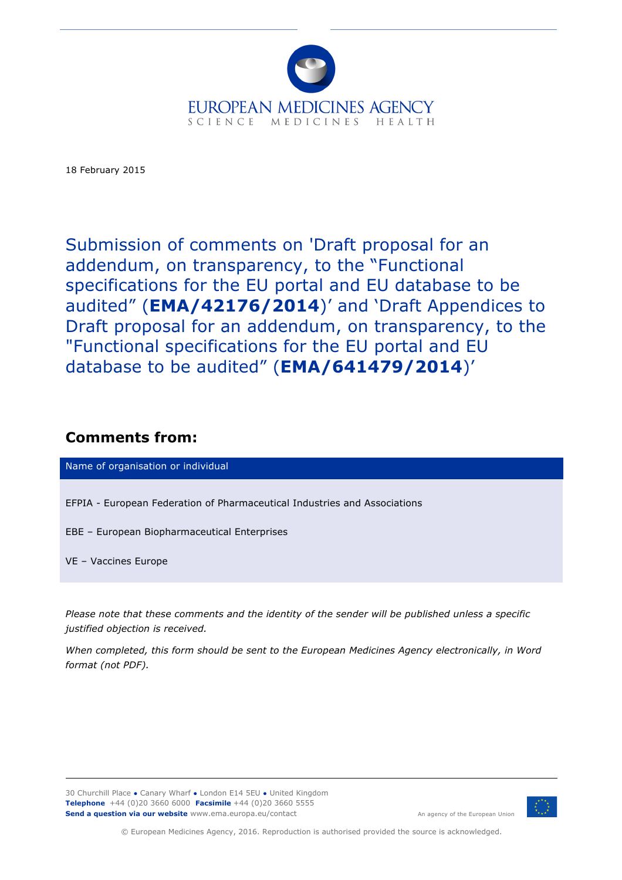

18 February 2015

Submission of comments on 'Draft proposal for an addendum, on transparency, to the "Functional specifications for the EU portal and EU database to be audited" (**EMA/42176/2014**)' and 'Draft Appendices to Draft proposal for an addendum, on transparency, to the "Functional specifications for the EU portal and EU database to be audited" (**EMA/641479/2014**)'

## **Comments from:**

Name of organisation or individual

EFPIA - European Federation of Pharmaceutical Industries and Associations

EBE – European Biopharmaceutical Enterprises

VE – Vaccines Europe

*Please note that these comments and the identity of the sender will be published unless a specific justified objection is received.*

*When completed, this form should be sent to the European Medicines Agency electronically, in Word format (not PDF).*

30 Churchill Place **●** Canary Wharf **●** London E14 5EU **●** United Kingdom **Telephone** +44 (0)20 3660 6000 **Facsimile** +44 (0)20 3660 5555 **Send a question via our website** www.ema.europa.eu/contact



An agency of the European Union

© European Medicines Agency, 2016. Reproduction is authorised provided the source is acknowledged.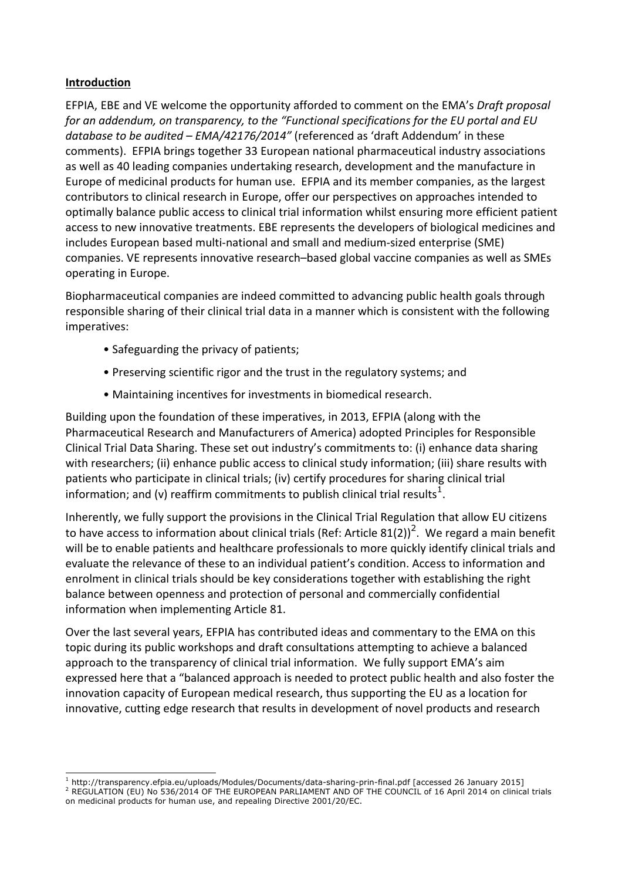#### **Introduction**

EFPIA, EBE and VE welcome the opportunity afforded to comment on the EMA's *Draft proposal for an addendum, on transparency, to the "Functional specifications for the EU portal and EU* database to be audited – *EMA/42176/2014"* (referenced as 'draft Addendum' in these comments). EFPIA brings together 33 European national pharmaceutical industry associations as well as 40 leading companies undertaking research, development and the manufacture in Europe of medicinal products for human use. EFPIA and its member companies, as the largest contributors to clinical research in Europe, offer our perspectives on approaches intended to optimally balance public access to clinical trial information whilst ensuring more efficient patient access to new innovative treatments. EBE represents the developers of biological medicines and includes European based multi-national and small and medium-sized enterprise (SME) companies. VE represents innovative research–based global vaccine companies as well as SMEs operating in Europe.

Biopharmaceutical companies are indeed committed to advancing public health goals through responsible sharing of their clinical trial data in a manner which is consistent with the following imperatives:

- Safeguarding the privacy of patients;
- Preserving scientific rigor and the trust in the regulatory systems; and
- Maintaining incentives for investments in biomedical research.

Building upon the foundation of these imperatives, in 2013, EFPIA (along with the Pharmaceutical Research and Manufacturers of America) adopted Principles for Responsible Clinical Trial Data Sharing. These set out industry's commitments to: (i) enhance data sharing with researchers; (ii) enhance public access to clinical study information; (iii) share results with patients who participate in clinical trials; (iv) certify procedures for sharing clinical trial information; and (v) reaffirm commitments to publish clinical trial results $^1\cdot$ 

Inherently, we fully support the provisions in the Clinical Trial Regulation that allow EU citizens to have access to information about clinical trials (Ref: Article 81(2))<sup>2</sup>. We regard a main benefit will be to enable patients and healthcare professionals to more quickly identify clinical trials and evaluate the relevance of these to an individual patient's condition. Access to information and enrolment in clinical trials should be key considerations together with establishing the right balance between openness and protection of personal and commercially confidential information when implementing Article 81.

Over the last several years, EFPIA has contributed ideas and commentary to the EMA on this topic during its public workshops and draft consultations attempting to achieve a balanced approach to the transparency of clinical trial information. We fully support EMA's aim expressed here that a "balanced approach is needed to protect public health and also foster the innovation capacity of European medical research, thus supporting the EU as a location for innovative, cutting edge research that results in development of novel products and research

 $^{\text{1}}$  http://transparency.efpia.eu/uploads/Modules/Documents/data-sharing-prin-final.pdf [accessed 26 January 2015] 2 REGULATION (EU) No 536/2014 OF THE EUROPEAN PARLIAMENT AND OF THE COUNCIL of 16 April 2014 on clinical trials on medicinal products for human use, and repealing Directive 2001/20/EC.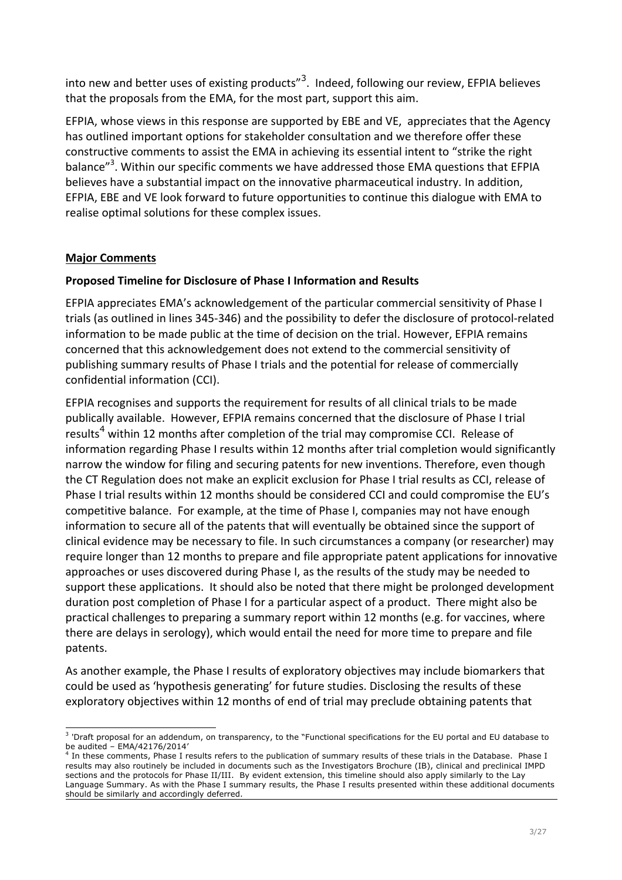into new and better uses of existing products"<sup>3</sup>. Indeed, following our review, EFPIA believes that the proposals from the EMA, for the most part, support this aim.

EFPIA, whose views in this response are supported by EBE and VE, appreciates that the Agency has outlined important options for stakeholder consultation and we therefore offer these constructive comments to assist the EMA in achieving its essential intent to "strike the right balance"<sup>3</sup>. Within our specific comments we have addressed those EMA questions that EFPIA believes have a substantial impact on the innovative pharmaceutical industry. In addition, EFPIA, EBE and VE look forward to future opportunities to continue this dialogue with EMA to realise optimal solutions for these complex issues.

## **Major Comments**

## **Proposed Timeline for Disclosure of Phase I Information and Results**

EFPIA appreciates EMA's acknowledgement of the particular commercial sensitivity of Phase I trials (as outlined in lines 345-346) and the possibility to defer the disclosure of protocol-related information to be made public at the time of decision on the trial. However, EFPIA remains concerned that this acknowledgement does not extend to the commercial sensitivity of publishing summary results of Phase I trials and the potential for release of commercially confidential information (CCI).

EFPIA recognises and supports the requirement for results of all clinical trials to be made publically available. However, EFPIA remains concerned that the disclosure of Phase I trial results<sup>4</sup> within 12 months after completion of the trial may compromise CCI. Release of information regarding Phase I results within 12 months after trial completion would significantly narrow the window for filing and securing patents for new inventions. Therefore, even though the CT Regulation does not make an explicit exclusion for Phase I trial results as CCI, release of Phase I trial results within 12 months should be considered CCI and could compromise the EU's competitive balance. For example, at the time of Phase I, companies may not have enough information to secure all of the patents that will eventually be obtained since the support of clinical evidence may be necessary to file. In such circumstances a company (or researcher) may require longer than 12 months to prepare and file appropriate patent applications for innovative approaches or uses discovered during Phase I, as the results of the study may be needed to support these applications. It should also be noted that there might be prolonged development duration post completion of Phase I for a particular aspect of a product. There might also be practical challenges to preparing a summary report within 12 months (e.g. for vaccines, where there are delays in serology), which would entail the need for more time to prepare and file patents.

As another example, the Phase I results of exploratory objectives may include biomarkers that could be used as 'hypothesis generating' for future studies. Disclosing the results of these exploratory objectives within 12 months of end of trial may preclude obtaining patents that

<sup>&</sup>lt;sup>3</sup> 'Draft proposal for an addendum, on transparency, to the "Functional specifications for the EU portal and EU database to be audited – EMA/42176/2014'

<sup>&</sup>lt;sup>1</sup> In these comments, Phase I results refers to the publication of summary results of these trials in the Database. Phase I results may also routinely be included in documents such as the Investigators Brochure (IB), clinical and preclinical IMPD sections and the protocols for Phase II/III. By evident extension, this timeline should also apply similarly to the Lay Language Summary. As with the Phase I summary results, the Phase I results presented within these additional documents should be similarly and accordingly deferred.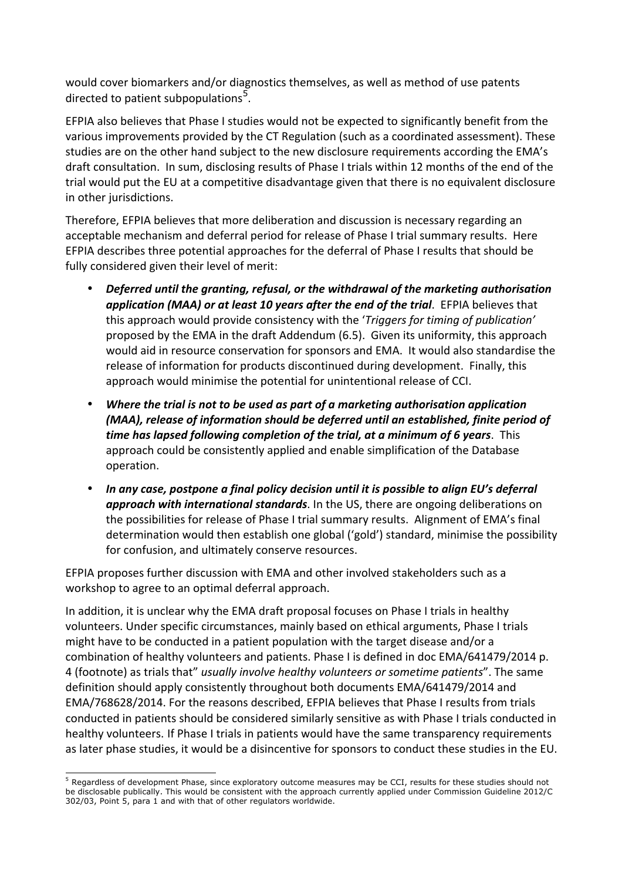would cover biomarkers and/or diagnostics themselves, as well as method of use patents directed to patient subpopulations<sup>5</sup>.

EFPIA also believes that Phase I studies would not be expected to significantly benefit from the various improvements provided by the CT Regulation (such as a coordinated assessment). These studies are on the other hand subject to the new disclosure requirements according the EMA's draft consultation. In sum, disclosing results of Phase I trials within 12 months of the end of the trial would put the EU at a competitive disadvantage given that there is no equivalent disclosure in other jurisdictions.

Therefore, EFPIA believes that more deliberation and discussion is necessary regarding an acceptable mechanism and deferral period for release of Phase I trial summary results. Here EFPIA describes three potential approaches for the deferral of Phase I results that should be fully considered given their level of merit:

- *Deferred until the granting, refusal, or the withdrawal of the marketing authorisation* application (MAA) or at least 10 years after the end of the trial. EFPIA believes that this approach would provide consistency with the '*Triggers for timing of publication'* proposed by the EMA in the draft Addendum (6.5). Given its uniformity, this approach would aid in resource conservation for sponsors and EMA. It would also standardise the release of information for products discontinued during development. Finally, this approach would minimise the potential for unintentional release of CCI.
- Where the trial is not to be used as part of a marketing authorisation application *(MAA), release of information should be deferred until an established, finite period of time has lapsed following completion of the trial, at a minimum of 6 years.* This approach could be consistently applied and enable simplification of the Database operation.
- In any case, postpone a final policy decision until it is possible to align EU's deferral **approach with international standards**. In the US, there are ongoing deliberations on the possibilities for release of Phase I trial summary results. Alignment of EMA's final determination would then establish one global ('gold') standard, minimise the possibility for confusion, and ultimately conserve resources.

EFPIA proposes further discussion with EMA and other involved stakeholders such as a workshop to agree to an optimal deferral approach.

In addition, it is unclear why the EMA draft proposal focuses on Phase I trials in healthy volunteers. Under specific circumstances, mainly based on ethical arguments, Phase I trials might have to be conducted in a patient population with the target disease and/or a combination of healthy volunteers and patients. Phase I is defined in doc EMA/641479/2014 p. 4 (footnote) as trials that" *usually involve healthy volunteers or sometime patients*". The same definition should apply consistently throughout both documents EMA/641479/2014 and EMA/768628/2014. For the reasons described, EFPIA believes that Phase I results from trials conducted in patients should be considered similarly sensitive as with Phase I trials conducted in healthy volunteers. If Phase I trials in patients would have the same transparency requirements as later phase studies, it would be a disincentive for sponsors to conduct these studies in the EU.

<sup>&</sup>lt;sup>5</sup> Regardless of development Phase, since exploratory outcome measures may be CCI, results for these studies should not be disclosable publically. This would be consistent with the approach currently applied under Commission Guideline 2012/C 302/03, Point 5, para 1 and with that of other regulators worldwide.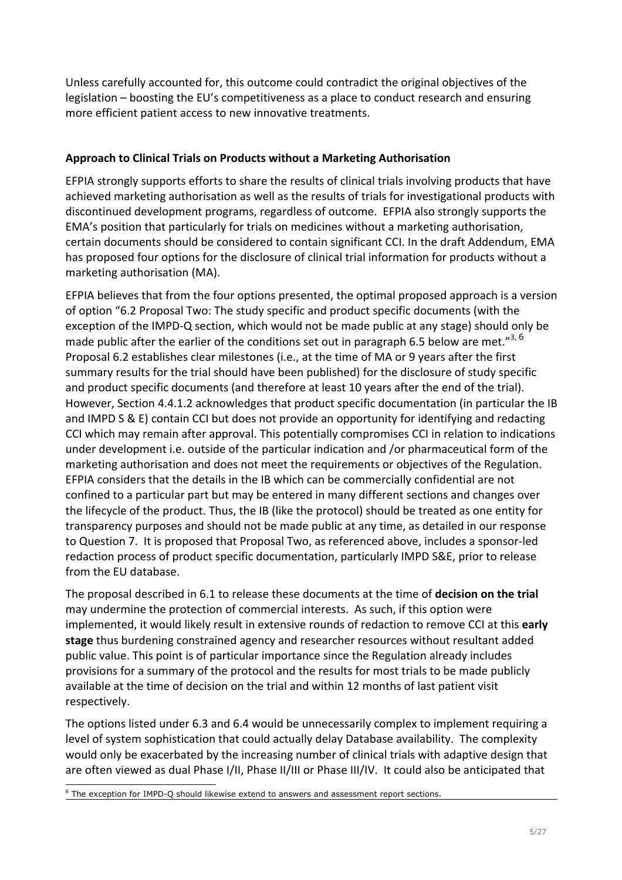Unless carefully accounted for, this outcome could contradict the original objectives of the legislation – boosting the EU's competitiveness as a place to conduct research and ensuring more efficient patient access to new innovative treatments.

## Approach to Clinical Trials on Products without a Marketing Authorisation

EFPIA strongly supports efforts to share the results of clinical trials involving products that have achieved marketing authorisation as well as the results of trials for investigational products with discontinued development programs, regardless of outcome. EFPIA also strongly supports the EMA's position that particularly for trials on medicines without a marketing authorisation, certain documents should be considered to contain significant CCI. In the draft Addendum, EMA has proposed four options for the disclosure of clinical trial information for products without a marketing authorisation (MA).

EFPIA believes that from the four options presented, the optimal proposed approach is a version of option "6.2 Proposal Two: The study specific and product specific documents (with the exception of the IMPD-Q section, which would not be made public at any stage) should only be made public after the earlier of the conditions set out in paragraph 6.5 below are met."<sup>3, 6</sup> Proposal 6.2 establishes clear milestones (i.e., at the time of MA or 9 years after the first summary results for the trial should have been published) for the disclosure of study specific and product specific documents (and therefore at least 10 years after the end of the trial). However, Section 4.4.1.2 acknowledges that product specific documentation (in particular the IB and IMPD S & E) contain CCI but does not provide an opportunity for identifying and redacting CCI which may remain after approval. This potentially compromises CCI in relation to indications under development i.e. outside of the particular indication and /or pharmaceutical form of the marketing authorisation and does not meet the requirements or objectives of the Regulation. EFPIA considers that the details in the IB which can be commercially confidential are not confined to a particular part but may be entered in many different sections and changes over the lifecycle of the product. Thus, the IB (like the protocol) should be treated as one entity for transparency purposes and should not be made public at any time, as detailed in our response to Question 7. It is proposed that Proposal Two, as referenced above, includes a sponsor-led redaction process of product specific documentation, particularly IMPD S&E, prior to release from the EU database.

The proposal described in 6.1 to release these documents at the time of **decision on the trial** may undermine the protection of commercial interests. As such, if this option were implemented, it would likely result in extensive rounds of redaction to remove CCI at this early **stage** thus burdening constrained agency and researcher resources without resultant added public value. This point is of particular importance since the Regulation already includes provisions for a summary of the protocol and the results for most trials to be made publicly available at the time of decision on the trial and within 12 months of last patient visit respectively.

The options listed under 6.3 and 6.4 would be unnecessarily complex to implement requiring a level of system sophistication that could actually delay Database availability. The complexity would only be exacerbated by the increasing number of clinical trials with adaptive design that are often viewed as dual Phase I/II, Phase II/III or Phase III/IV. It could also be anticipated that

 $6$  The exception for IMPD-Q should likewise extend to answers and assessment report sections.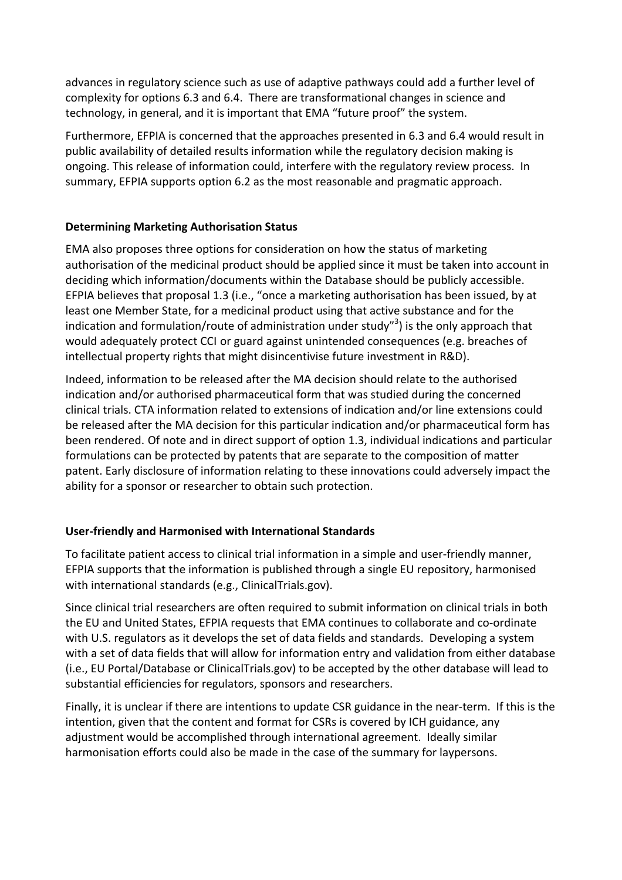advances in regulatory science such as use of adaptive pathways could add a further level of complexity for options 6.3 and 6.4. There are transformational changes in science and technology, in general, and it is important that EMA "future proof" the system.

Furthermore, EFPIA is concerned that the approaches presented in 6.3 and 6.4 would result in public availability of detailed results information while the regulatory decision making is ongoing. This release of information could, interfere with the regulatory review process. In summary, EFPIA supports option 6.2 as the most reasonable and pragmatic approach.

## **Determining Marketing Authorisation Status**

EMA also proposes three options for consideration on how the status of marketing authorisation of the medicinal product should be applied since it must be taken into account in deciding which information/documents within the Database should be publicly accessible. EFPIA believes that proposal 1.3 (i.e., "once a marketing authorisation has been issued, by at least one Member State, for a medicinal product using that active substance and for the indication and formulation/route of administration under study"<sup>3</sup>) is the only approach that would adequately protect CCI or guard against unintended consequences (e.g. breaches of intellectual property rights that might disincentivise future investment in R&D).

Indeed, information to be released after the MA decision should relate to the authorised indication and/or authorised pharmaceutical form that was studied during the concerned clinical trials. CTA information related to extensions of indication and/or line extensions could be released after the MA decision for this particular indication and/or pharmaceutical form has been rendered. Of note and in direct support of option 1.3, individual indications and particular formulations can be protected by patents that are separate to the composition of matter patent. Early disclosure of information relating to these innovations could adversely impact the ability for a sponsor or researcher to obtain such protection.

## **User-friendly and Harmonised with International Standards**

To facilitate patient access to clinical trial information in a simple and user-friendly manner, EFPIA supports that the information is published through a single EU repository, harmonised with international standards (e.g., ClinicalTrials.gov).

Since clinical trial researchers are often required to submit information on clinical trials in both the EU and United States, EFPIA requests that EMA continues to collaborate and co-ordinate with U.S. regulators as it develops the set of data fields and standards. Developing a system with a set of data fields that will allow for information entry and validation from either database (i.e., EU Portal/Database or ClinicalTrials.gov) to be accepted by the other database will lead to substantial efficiencies for regulators, sponsors and researchers.

Finally, it is unclear if there are intentions to update CSR guidance in the near-term. If this is the intention, given that the content and format for CSRs is covered by ICH guidance, any adjustment would be accomplished through international agreement. Ideally similar harmonisation efforts could also be made in the case of the summary for laypersons.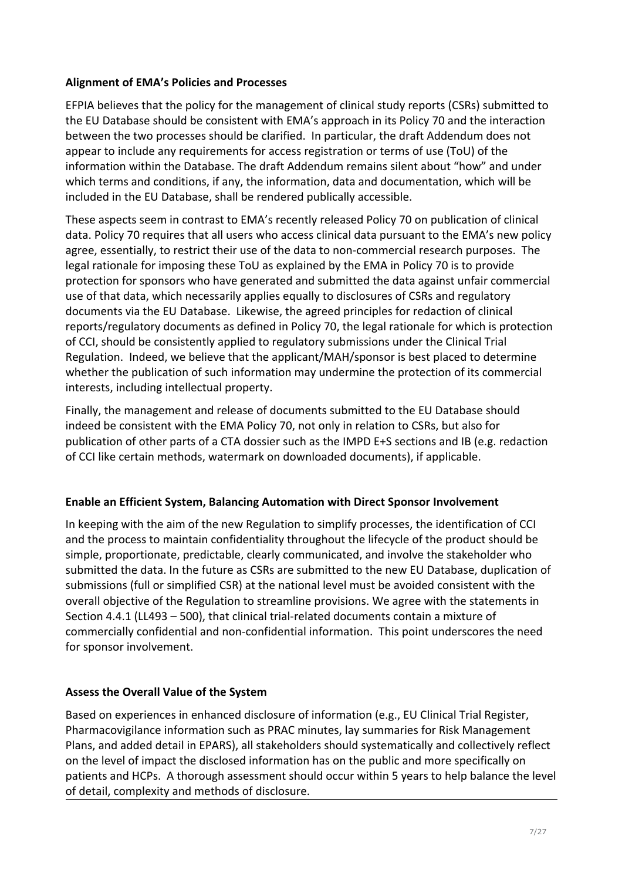#### **Alignment of EMA's Policies and Processes**

EFPIA believes that the policy for the management of clinical study reports (CSRs) submitted to the EU Database should be consistent with EMA's approach in its Policy 70 and the interaction between the two processes should be clarified. In particular, the draft Addendum does not appear to include any requirements for access registration or terms of use (ToU) of the information within the Database. The draft Addendum remains silent about "how" and under which terms and conditions, if any, the information, data and documentation, which will be included in the EU Database, shall be rendered publically accessible.

These aspects seem in contrast to EMA's recently released Policy 70 on publication of clinical data. Policy 70 requires that all users who access clinical data pursuant to the EMA's new policy agree, essentially, to restrict their use of the data to non-commercial research purposes. The legal rationale for imposing these ToU as explained by the EMA in Policy 70 is to provide protection for sponsors who have generated and submitted the data against unfair commercial use of that data, which necessarily applies equally to disclosures of CSRs and regulatory documents via the EU Database. Likewise, the agreed principles for redaction of clinical reports/regulatory documents as defined in Policy 70, the legal rationale for which is protection of CCI, should be consistently applied to regulatory submissions under the Clinical Trial Regulation. Indeed, we believe that the applicant/MAH/sponsor is best placed to determine whether the publication of such information may undermine the protection of its commercial interests, including intellectual property.

Finally, the management and release of documents submitted to the EU Database should indeed be consistent with the EMA Policy 70, not only in relation to CSRs, but also for publication of other parts of a CTA dossier such as the IMPD E+S sections and IB (e.g. redaction of CCI like certain methods, watermark on downloaded documents), if applicable.

## **Enable an Efficient System, Balancing Automation with Direct Sponsor Involvement**

In keeping with the aim of the new Regulation to simplify processes, the identification of CCI and the process to maintain confidentiality throughout the lifecycle of the product should be simple, proportionate, predictable, clearly communicated, and involve the stakeholder who submitted the data. In the future as CSRs are submitted to the new EU Database, duplication of submissions (full or simplified CSR) at the national level must be avoided consistent with the overall objective of the Regulation to streamline provisions. We agree with the statements in Section  $4.4.1$  (LL493 - 500), that clinical trial-related documents contain a mixture of commercially confidential and non-confidential information. This point underscores the need for sponsor involvement.

## **Assess the Overall Value of the System**

Based on experiences in enhanced disclosure of information (e.g., EU Clinical Trial Register, Pharmacovigilance information such as PRAC minutes, lay summaries for Risk Management Plans, and added detail in EPARS), all stakeholders should systematically and collectively reflect on the level of impact the disclosed information has on the public and more specifically on patients and HCPs. A thorough assessment should occur within 5 years to help balance the level of detail, complexity and methods of disclosure.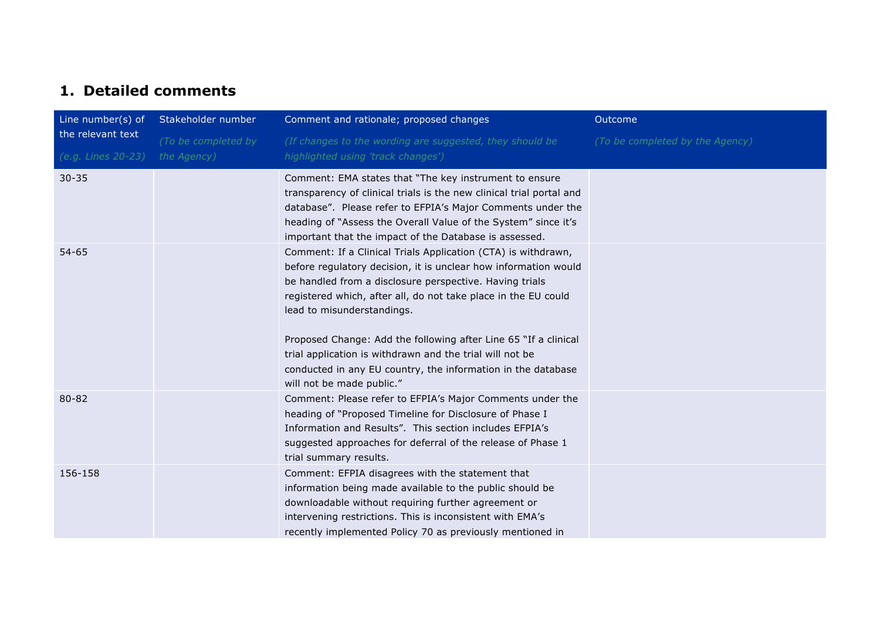# **1. Detailed comments**

| Line number(s) of                       | Stakeholder number                 | Comment and rationale; proposed changes                                                                                                                                                                                                                                                                                                                                                                                                                                                                                 | Outcome                         |
|-----------------------------------------|------------------------------------|-------------------------------------------------------------------------------------------------------------------------------------------------------------------------------------------------------------------------------------------------------------------------------------------------------------------------------------------------------------------------------------------------------------------------------------------------------------------------------------------------------------------------|---------------------------------|
| the relevant text<br>(e.g. Lines 20-23) | (To be completed by<br>the Agency) | (If changes to the wording are suggested, they should be<br>highlighted using 'track changes')                                                                                                                                                                                                                                                                                                                                                                                                                          | (To be completed by the Agency) |
| $30 - 35$                               |                                    | Comment: EMA states that "The key instrument to ensure<br>transparency of clinical trials is the new clinical trial portal and<br>database". Please refer to EFPIA's Major Comments under the<br>heading of "Assess the Overall Value of the System" since it's<br>important that the impact of the Database is assessed.                                                                                                                                                                                               |                                 |
| $54 - 65$                               |                                    | Comment: If a Clinical Trials Application (CTA) is withdrawn,<br>before regulatory decision, it is unclear how information would<br>be handled from a disclosure perspective. Having trials<br>registered which, after all, do not take place in the EU could<br>lead to misunderstandings.<br>Proposed Change: Add the following after Line 65 "If a clinical<br>trial application is withdrawn and the trial will not be<br>conducted in any EU country, the information in the database<br>will not be made public." |                                 |
| 80-82                                   |                                    | Comment: Please refer to EFPIA's Major Comments under the<br>heading of "Proposed Timeline for Disclosure of Phase I<br>Information and Results". This section includes EFPIA's<br>suggested approaches for deferral of the release of Phase 1<br>trial summary results.                                                                                                                                                                                                                                                |                                 |
| 156-158                                 |                                    | Comment: EFPIA disagrees with the statement that<br>information being made available to the public should be<br>downloadable without requiring further agreement or<br>intervening restrictions. This is inconsistent with EMA's<br>recently implemented Policy 70 as previously mentioned in                                                                                                                                                                                                                           |                                 |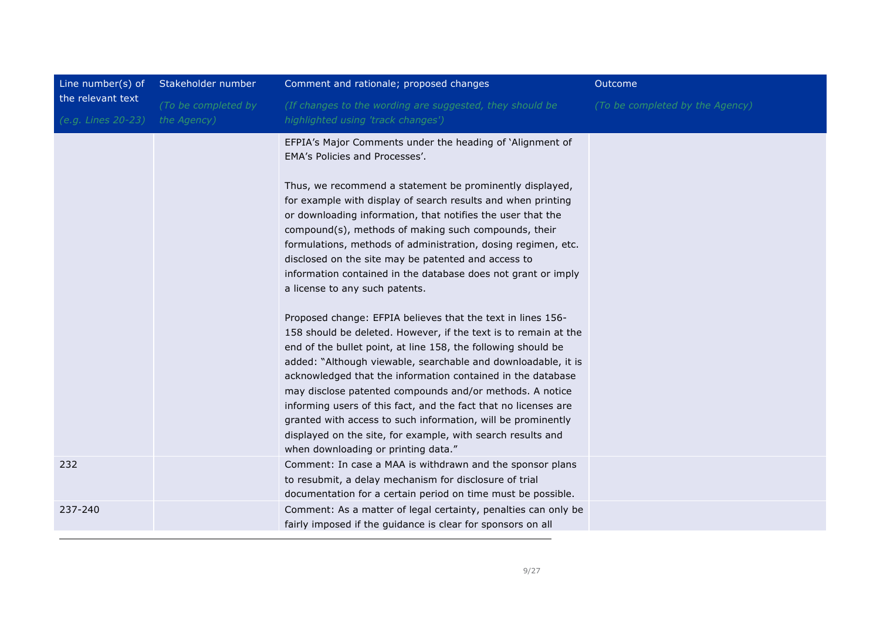| Line number(s) of  | Stakeholder number  | Comment and rationale; proposed changes                                                                                                                                                                                                                                                                                                                                                                                                                                                                                                                                                                                              | Outcome                         |
|--------------------|---------------------|--------------------------------------------------------------------------------------------------------------------------------------------------------------------------------------------------------------------------------------------------------------------------------------------------------------------------------------------------------------------------------------------------------------------------------------------------------------------------------------------------------------------------------------------------------------------------------------------------------------------------------------|---------------------------------|
| the relevant text  | (To be completed by | (If changes to the wording are suggested, they should be                                                                                                                                                                                                                                                                                                                                                                                                                                                                                                                                                                             | (To be completed by the Agency) |
| (e.g. Lines 20-23) | the Agency)         | highlighted using 'track changes')                                                                                                                                                                                                                                                                                                                                                                                                                                                                                                                                                                                                   |                                 |
|                    |                     | EFPIA's Major Comments under the heading of 'Alignment of<br>EMA's Policies and Processes'.                                                                                                                                                                                                                                                                                                                                                                                                                                                                                                                                          |                                 |
|                    |                     | Thus, we recommend a statement be prominently displayed,<br>for example with display of search results and when printing<br>or downloading information, that notifies the user that the<br>compound(s), methods of making such compounds, their<br>formulations, methods of administration, dosing regimen, etc.<br>disclosed on the site may be patented and access to<br>information contained in the database does not grant or imply<br>a license to any such patents.                                                                                                                                                           |                                 |
|                    |                     | Proposed change: EFPIA believes that the text in lines 156-<br>158 should be deleted. However, if the text is to remain at the<br>end of the bullet point, at line 158, the following should be<br>added: "Although viewable, searchable and downloadable, it is<br>acknowledged that the information contained in the database<br>may disclose patented compounds and/or methods. A notice<br>informing users of this fact, and the fact that no licenses are<br>granted with access to such information, will be prominently<br>displayed on the site, for example, with search results and<br>when downloading or printing data." |                                 |
| 232                |                     | Comment: In case a MAA is withdrawn and the sponsor plans<br>to resubmit, a delay mechanism for disclosure of trial<br>documentation for a certain period on time must be possible.                                                                                                                                                                                                                                                                                                                                                                                                                                                  |                                 |
| 237-240            |                     | Comment: As a matter of legal certainty, penalties can only be<br>fairly imposed if the guidance is clear for sponsors on all                                                                                                                                                                                                                                                                                                                                                                                                                                                                                                        |                                 |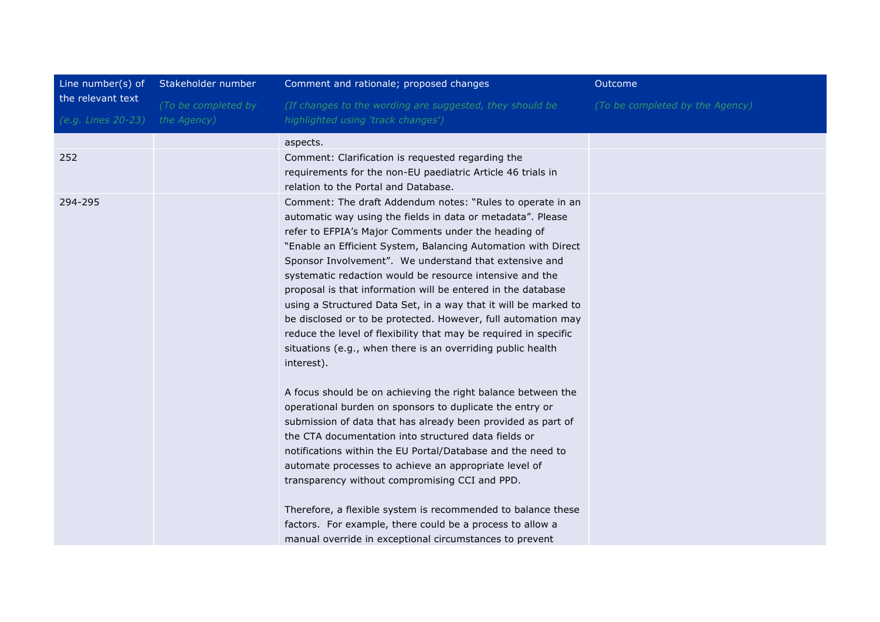| Line number(s) of  | Stakeholder number  | Comment and rationale; proposed changes                                                                                                                                                                                                                                                                                                                                                                                                                                                                                                                                                                                                                                                                                                                                                       | Outcome                         |
|--------------------|---------------------|-----------------------------------------------------------------------------------------------------------------------------------------------------------------------------------------------------------------------------------------------------------------------------------------------------------------------------------------------------------------------------------------------------------------------------------------------------------------------------------------------------------------------------------------------------------------------------------------------------------------------------------------------------------------------------------------------------------------------------------------------------------------------------------------------|---------------------------------|
| the relevant text  | (To be completed by | (If changes to the wording are suggested, they should be                                                                                                                                                                                                                                                                                                                                                                                                                                                                                                                                                                                                                                                                                                                                      | (To be completed by the Agency) |
| (e.g. Lines 20-23) | the Agency)         | highlighted using 'track changes')                                                                                                                                                                                                                                                                                                                                                                                                                                                                                                                                                                                                                                                                                                                                                            |                                 |
|                    |                     | aspects.                                                                                                                                                                                                                                                                                                                                                                                                                                                                                                                                                                                                                                                                                                                                                                                      |                                 |
| 252                |                     | Comment: Clarification is requested regarding the<br>requirements for the non-EU paediatric Article 46 trials in<br>relation to the Portal and Database.                                                                                                                                                                                                                                                                                                                                                                                                                                                                                                                                                                                                                                      |                                 |
| 294-295            |                     | Comment: The draft Addendum notes: "Rules to operate in an<br>automatic way using the fields in data or metadata". Please<br>refer to EFPIA's Major Comments under the heading of<br>"Enable an Efficient System, Balancing Automation with Direct<br>Sponsor Involvement". We understand that extensive and<br>systematic redaction would be resource intensive and the<br>proposal is that information will be entered in the database<br>using a Structured Data Set, in a way that it will be marked to<br>be disclosed or to be protected. However, full automation may<br>reduce the level of flexibility that may be required in specific<br>situations (e.g., when there is an overriding public health<br>interest).<br>A focus should be on achieving the right balance between the |                                 |
|                    |                     | operational burden on sponsors to duplicate the entry or<br>submission of data that has already been provided as part of<br>the CTA documentation into structured data fields or<br>notifications within the EU Portal/Database and the need to<br>automate processes to achieve an appropriate level of<br>transparency without compromising CCI and PPD.<br>Therefore, a flexible system is recommended to balance these<br>factors. For example, there could be a process to allow a<br>manual override in exceptional circumstances to prevent                                                                                                                                                                                                                                            |                                 |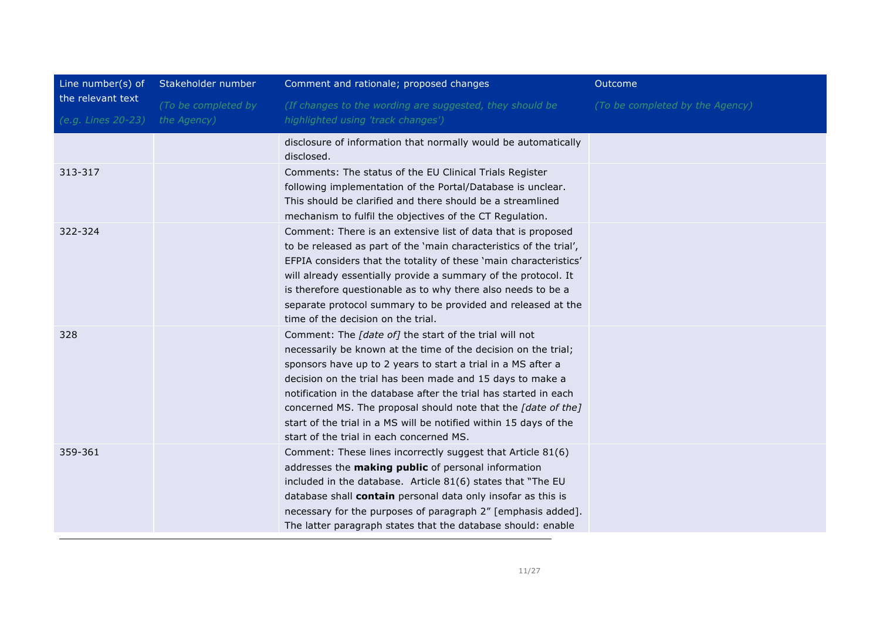| Line number(s) of                       | Stakeholder number                 | Comment and rationale; proposed changes                                                                                                                                                                                                                                                                                                                                                                                                                                                                     | Outcome                         |
|-----------------------------------------|------------------------------------|-------------------------------------------------------------------------------------------------------------------------------------------------------------------------------------------------------------------------------------------------------------------------------------------------------------------------------------------------------------------------------------------------------------------------------------------------------------------------------------------------------------|---------------------------------|
| the relevant text<br>(e.g. Lines 20-23) | (To be completed by<br>the Agency) | (If changes to the wording are suggested, they should be<br>highlighted using 'track changes')                                                                                                                                                                                                                                                                                                                                                                                                              | (To be completed by the Agency) |
|                                         |                                    | disclosure of information that normally would be automatically<br>disclosed.                                                                                                                                                                                                                                                                                                                                                                                                                                |                                 |
| 313-317                                 |                                    | Comments: The status of the EU Clinical Trials Register<br>following implementation of the Portal/Database is unclear.<br>This should be clarified and there should be a streamlined<br>mechanism to fulfil the objectives of the CT Regulation.                                                                                                                                                                                                                                                            |                                 |
| 322-324                                 |                                    | Comment: There is an extensive list of data that is proposed<br>to be released as part of the 'main characteristics of the trial',<br>EFPIA considers that the totality of these 'main characteristics'<br>will already essentially provide a summary of the protocol. It<br>is therefore questionable as to why there also needs to be a<br>separate protocol summary to be provided and released at the<br>time of the decision on the trial.                                                             |                                 |
| 328                                     |                                    | Comment: The [date of] the start of the trial will not<br>necessarily be known at the time of the decision on the trial;<br>sponsors have up to 2 years to start a trial in a MS after a<br>decision on the trial has been made and 15 days to make a<br>notification in the database after the trial has started in each<br>concerned MS. The proposal should note that the [date of the]<br>start of the trial in a MS will be notified within 15 days of the<br>start of the trial in each concerned MS. |                                 |
| 359-361                                 |                                    | Comment: These lines incorrectly suggest that Article 81(6)<br>addresses the making public of personal information<br>included in the database. Article 81(6) states that "The EU<br>database shall contain personal data only insofar as this is<br>necessary for the purposes of paragraph 2" [emphasis added].<br>The latter paragraph states that the database should: enable                                                                                                                           |                                 |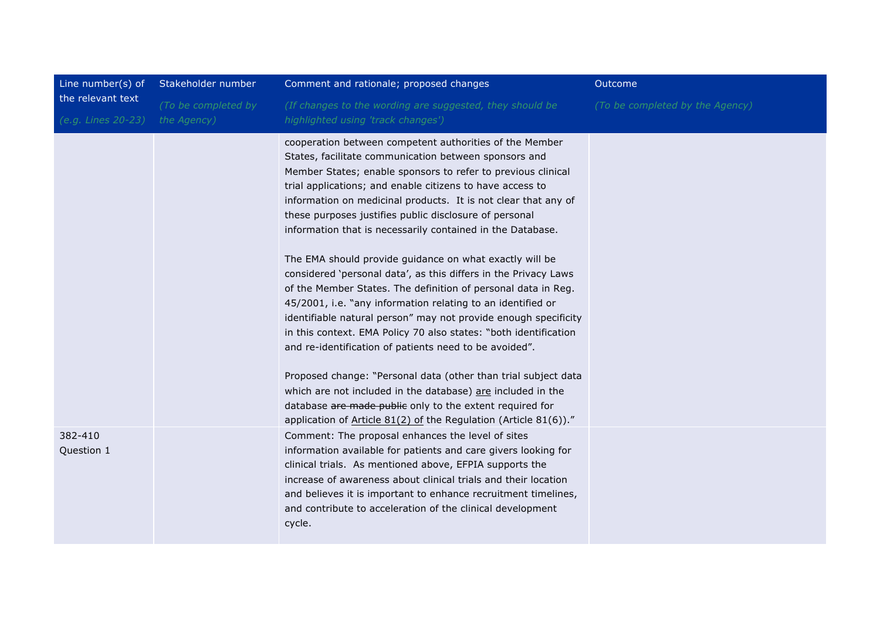| Line number(s) of     | Stakeholder number  | Comment and rationale; proposed changes                                                                                                                                                                                                                                                                                                                                                                                                                     | Outcome                         |
|-----------------------|---------------------|-------------------------------------------------------------------------------------------------------------------------------------------------------------------------------------------------------------------------------------------------------------------------------------------------------------------------------------------------------------------------------------------------------------------------------------------------------------|---------------------------------|
| the relevant text     | (To be completed by | (If changes to the wording are suggested, they should be                                                                                                                                                                                                                                                                                                                                                                                                    | (To be completed by the Agency) |
| (e.g. Lines 20-23)    | the Agency)         | highlighted using 'track changes')                                                                                                                                                                                                                                                                                                                                                                                                                          |                                 |
|                       |                     | cooperation between competent authorities of the Member<br>States, facilitate communication between sponsors and<br>Member States; enable sponsors to refer to previous clinical<br>trial applications; and enable citizens to have access to<br>information on medicinal products. It is not clear that any of<br>these purposes justifies public disclosure of personal<br>information that is necessarily contained in the Database.                     |                                 |
|                       |                     | The EMA should provide guidance on what exactly will be<br>considered 'personal data', as this differs in the Privacy Laws<br>of the Member States. The definition of personal data in Reg.<br>45/2001, i.e. "any information relating to an identified or<br>identifiable natural person" may not provide enough specificity<br>in this context. EMA Policy 70 also states: "both identification<br>and re-identification of patients need to be avoided". |                                 |
|                       |                     | Proposed change: "Personal data (other than trial subject data<br>which are not included in the database) are included in the<br>database are made public only to the extent required for<br>application of Article 81(2) of the Regulation (Article 81(6))."                                                                                                                                                                                               |                                 |
| 382-410<br>Question 1 |                     | Comment: The proposal enhances the level of sites<br>information available for patients and care givers looking for<br>clinical trials. As mentioned above, EFPIA supports the<br>increase of awareness about clinical trials and their location<br>and believes it is important to enhance recruitment timelines,<br>and contribute to acceleration of the clinical development<br>cycle.                                                                  |                                 |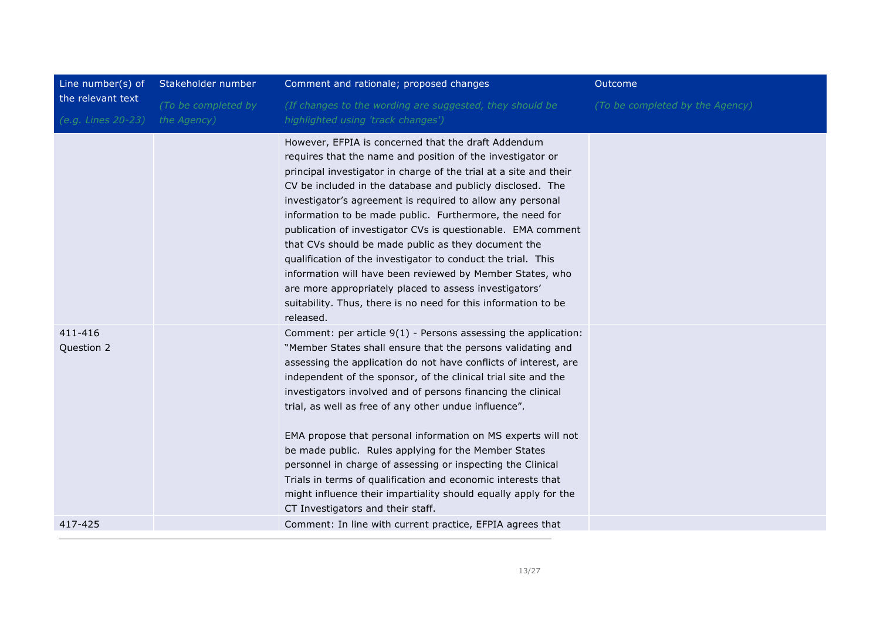| Line number(s) of                       | Stakeholder number                 | Comment and rationale; proposed changes                                                                                                                                                                                                                                                                                                                                                                                                                                                                                                                                                                                                                                                                                                                                     | Outcome                         |
|-----------------------------------------|------------------------------------|-----------------------------------------------------------------------------------------------------------------------------------------------------------------------------------------------------------------------------------------------------------------------------------------------------------------------------------------------------------------------------------------------------------------------------------------------------------------------------------------------------------------------------------------------------------------------------------------------------------------------------------------------------------------------------------------------------------------------------------------------------------------------------|---------------------------------|
| the relevant text<br>(e.g. Lines 20-23) | (To be completed by<br>the Agency) | (If changes to the wording are suggested, they should be<br>highlighted using 'track changes')                                                                                                                                                                                                                                                                                                                                                                                                                                                                                                                                                                                                                                                                              | (To be completed by the Agency) |
|                                         |                                    | However, EFPIA is concerned that the draft Addendum<br>requires that the name and position of the investigator or<br>principal investigator in charge of the trial at a site and their<br>CV be included in the database and publicly disclosed. The<br>investigator's agreement is required to allow any personal<br>information to be made public. Furthermore, the need for<br>publication of investigator CVs is questionable. EMA comment<br>that CVs should be made public as they document the<br>qualification of the investigator to conduct the trial. This<br>information will have been reviewed by Member States, who<br>are more appropriately placed to assess investigators'<br>suitability. Thus, there is no need for this information to be<br>released. |                                 |
| 411-416<br>Question 2                   |                                    | Comment: per article 9(1) - Persons assessing the application:<br>"Member States shall ensure that the persons validating and<br>assessing the application do not have conflicts of interest, are<br>independent of the sponsor, of the clinical trial site and the<br>investigators involved and of persons financing the clinical<br>trial, as well as free of any other undue influence".<br>EMA propose that personal information on MS experts will not<br>be made public. Rules applying for the Member States<br>personnel in charge of assessing or inspecting the Clinical<br>Trials in terms of qualification and economic interests that<br>might influence their impartiality should equally apply for the<br>CT Investigators and their staff.                 |                                 |
| 417-425                                 |                                    | Comment: In line with current practice, EFPIA agrees that                                                                                                                                                                                                                                                                                                                                                                                                                                                                                                                                                                                                                                                                                                                   |                                 |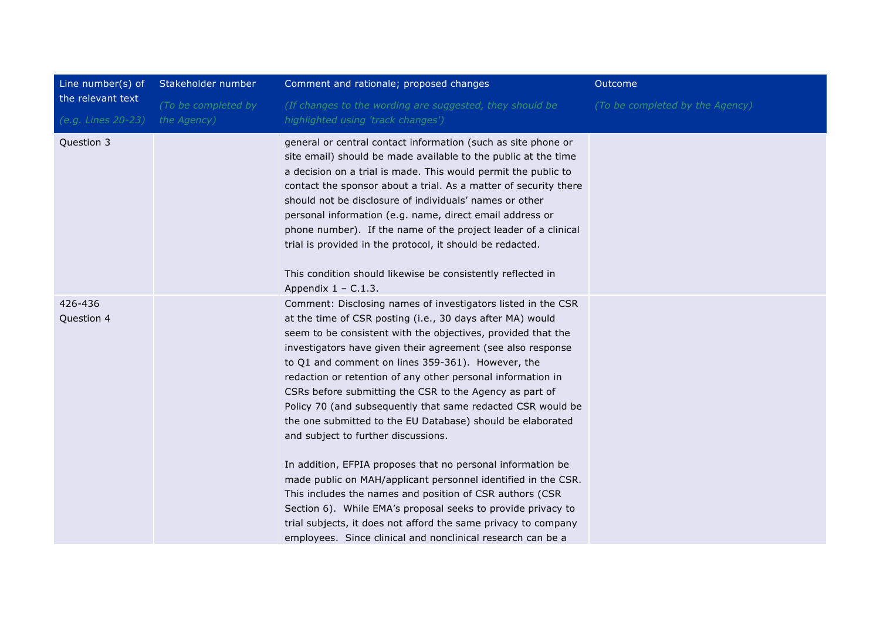| Line number(s) of     | Stakeholder number  | Comment and rationale; proposed changes                                                                                                                                                                                                                                                                                                                                                                                                                                                                                                                                                                     | Outcome                         |
|-----------------------|---------------------|-------------------------------------------------------------------------------------------------------------------------------------------------------------------------------------------------------------------------------------------------------------------------------------------------------------------------------------------------------------------------------------------------------------------------------------------------------------------------------------------------------------------------------------------------------------------------------------------------------------|---------------------------------|
| the relevant text     | (To be completed by | (If changes to the wording are suggested, they should be                                                                                                                                                                                                                                                                                                                                                                                                                                                                                                                                                    | (To be completed by the Agency) |
| (e.g. Lines 20-23)    | the Agency)         | highlighted using 'track changes')                                                                                                                                                                                                                                                                                                                                                                                                                                                                                                                                                                          |                                 |
| Question 3            |                     | general or central contact information (such as site phone or<br>site email) should be made available to the public at the time<br>a decision on a trial is made. This would permit the public to<br>contact the sponsor about a trial. As a matter of security there<br>should not be disclosure of individuals' names or other<br>personal information (e.g. name, direct email address or<br>phone number). If the name of the project leader of a clinical<br>trial is provided in the protocol, it should be redacted.<br>This condition should likewise be consistently reflected in                  |                                 |
|                       |                     | Appendix $1 - C.1.3$ .                                                                                                                                                                                                                                                                                                                                                                                                                                                                                                                                                                                      |                                 |
| 426-436<br>Question 4 |                     | Comment: Disclosing names of investigators listed in the CSR<br>at the time of CSR posting (i.e., 30 days after MA) would<br>seem to be consistent with the objectives, provided that the<br>investigators have given their agreement (see also response<br>to Q1 and comment on lines 359-361). However, the<br>redaction or retention of any other personal information in<br>CSRs before submitting the CSR to the Agency as part of<br>Policy 70 (and subsequently that same redacted CSR would be<br>the one submitted to the EU Database) should be elaborated<br>and subject to further discussions. |                                 |
|                       |                     | In addition, EFPIA proposes that no personal information be<br>made public on MAH/applicant personnel identified in the CSR.<br>This includes the names and position of CSR authors (CSR<br>Section 6). While EMA's proposal seeks to provide privacy to<br>trial subjects, it does not afford the same privacy to company<br>employees. Since clinical and nonclinical research can be a                                                                                                                                                                                                                   |                                 |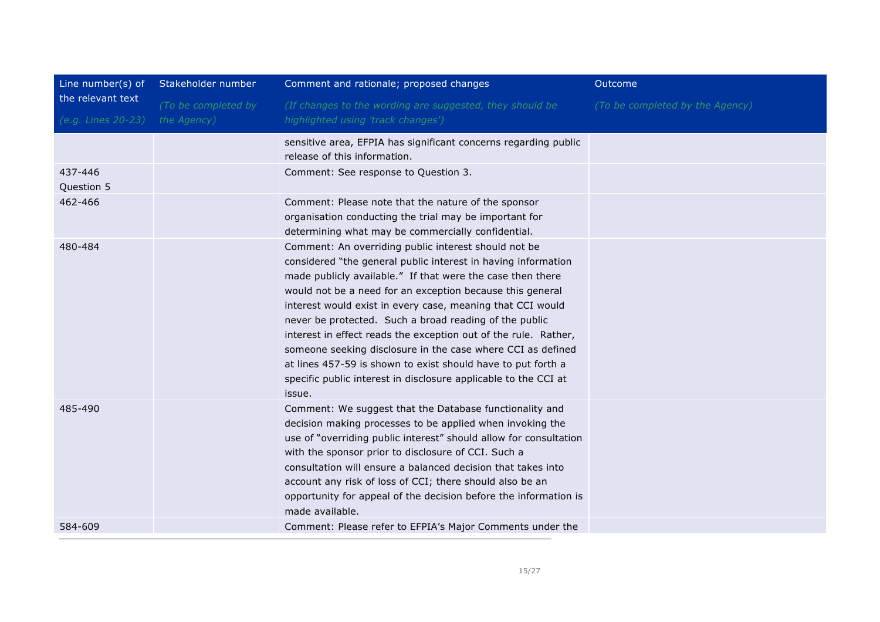| Line number(s) of     | Stakeholder number  | Comment and rationale; proposed changes                                                                                                                                                                                                                                                                                                                                                                                                                                                                                                                                                                                                                 | Outcome                         |
|-----------------------|---------------------|---------------------------------------------------------------------------------------------------------------------------------------------------------------------------------------------------------------------------------------------------------------------------------------------------------------------------------------------------------------------------------------------------------------------------------------------------------------------------------------------------------------------------------------------------------------------------------------------------------------------------------------------------------|---------------------------------|
| the relevant text     | (To be completed by | (If changes to the wording are suggested, they should be                                                                                                                                                                                                                                                                                                                                                                                                                                                                                                                                                                                                | (To be completed by the Agency) |
| (e.g. Lines 20-23)    | the Agency)         | highlighted using 'track changes')                                                                                                                                                                                                                                                                                                                                                                                                                                                                                                                                                                                                                      |                                 |
|                       |                     | sensitive area, EFPIA has significant concerns regarding public<br>release of this information.                                                                                                                                                                                                                                                                                                                                                                                                                                                                                                                                                         |                                 |
| 437-446<br>Question 5 |                     | Comment: See response to Question 3.                                                                                                                                                                                                                                                                                                                                                                                                                                                                                                                                                                                                                    |                                 |
| 462-466               |                     | Comment: Please note that the nature of the sponsor<br>organisation conducting the trial may be important for<br>determining what may be commercially confidential.                                                                                                                                                                                                                                                                                                                                                                                                                                                                                     |                                 |
| 480-484               |                     | Comment: An overriding public interest should not be<br>considered "the general public interest in having information<br>made publicly available." If that were the case then there<br>would not be a need for an exception because this general<br>interest would exist in every case, meaning that CCI would<br>never be protected. Such a broad reading of the public<br>interest in effect reads the exception out of the rule. Rather,<br>someone seeking disclosure in the case where CCI as defined<br>at lines 457-59 is shown to exist should have to put forth a<br>specific public interest in disclosure applicable to the CCI at<br>issue. |                                 |
| 485-490               |                     | Comment: We suggest that the Database functionality and<br>decision making processes to be applied when invoking the<br>use of "overriding public interest" should allow for consultation<br>with the sponsor prior to disclosure of CCI. Such a<br>consultation will ensure a balanced decision that takes into<br>account any risk of loss of CCI; there should also be an<br>opportunity for appeal of the decision before the information is<br>made available.                                                                                                                                                                                     |                                 |
| 584-609               |                     | Comment: Please refer to EFPIA's Major Comments under the                                                                                                                                                                                                                                                                                                                                                                                                                                                                                                                                                                                               |                                 |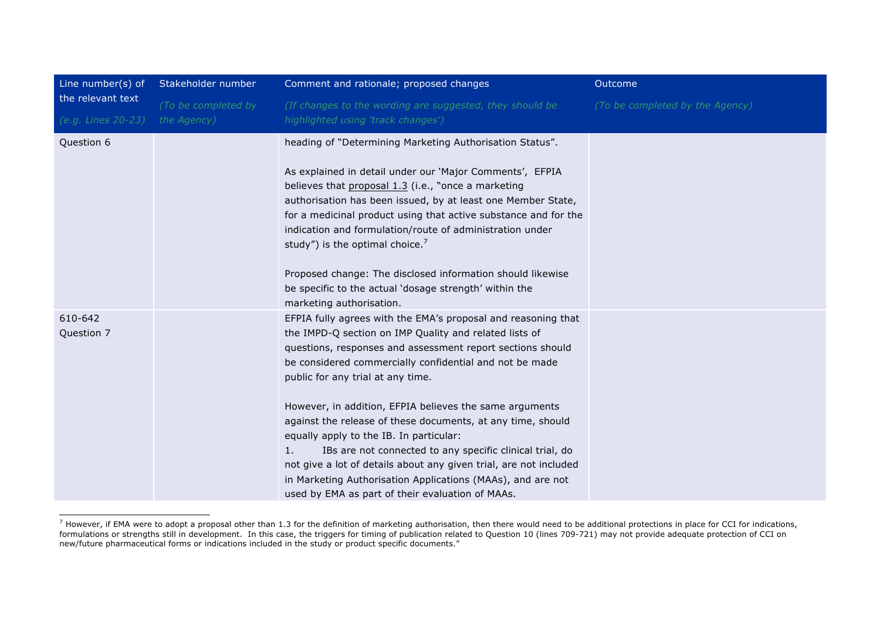| Line number(s) of                       | Stakeholder number                 | Comment and rationale; proposed changes                                                                                                                                                                                                                                                                                                                                                                                                                                                                                                                                                                                                                                                                              | Outcome                         |
|-----------------------------------------|------------------------------------|----------------------------------------------------------------------------------------------------------------------------------------------------------------------------------------------------------------------------------------------------------------------------------------------------------------------------------------------------------------------------------------------------------------------------------------------------------------------------------------------------------------------------------------------------------------------------------------------------------------------------------------------------------------------------------------------------------------------|---------------------------------|
| the relevant text<br>(e.g. Lines 20-23) | (To be completed by<br>the Agency) | (If changes to the wording are suggested, they should be<br>highlighted using 'track changes')                                                                                                                                                                                                                                                                                                                                                                                                                                                                                                                                                                                                                       | (To be completed by the Agency) |
| Question 6                              |                                    | heading of "Determining Marketing Authorisation Status".<br>As explained in detail under our 'Major Comments', EFPIA<br>believes that proposal 1.3 (i.e., "once a marketing<br>authorisation has been issued, by at least one Member State,<br>for a medicinal product using that active substance and for the<br>indication and formulation/route of administration under<br>study") is the optimal choice. <sup>7</sup><br>Proposed change: The disclosed information should likewise<br>be specific to the actual 'dosage strength' within the<br>marketing authorisation.                                                                                                                                        |                                 |
| 610-642<br>Question 7                   |                                    | EFPIA fully agrees with the EMA's proposal and reasoning that<br>the IMPD-Q section on IMP Quality and related lists of<br>questions, responses and assessment report sections should<br>be considered commercially confidential and not be made<br>public for any trial at any time.<br>However, in addition, EFPIA believes the same arguments<br>against the release of these documents, at any time, should<br>equally apply to the IB. In particular:<br>1.<br>IBs are not connected to any specific clinical trial, do<br>not give a lot of details about any given trial, are not included<br>in Marketing Authorisation Applications (MAAs), and are not<br>used by EMA as part of their evaluation of MAAs. |                                 |

Thowever, if EMA were to adopt a proposal other than 1.3 for the definition of marketing authorisation, then there would need to be additional protections in place for CCI for indications, formulations or strengths still in development. In this case, the triggers for timing of publication related to Question 10 (lines 709-721) may not provide adequate protection of CCI on new/future pharmaceutical forms or indications included in the study or product specific documents."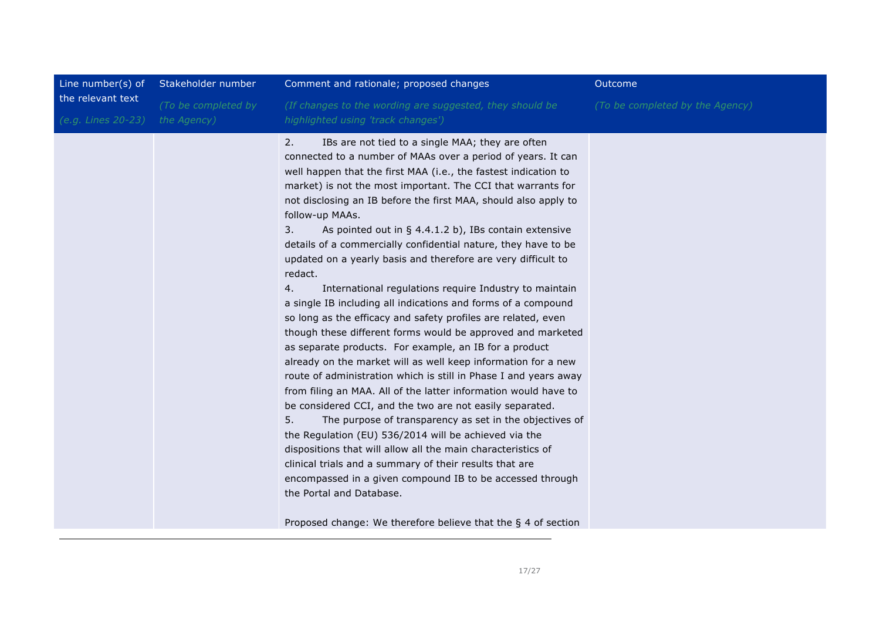| Line number(s) of  | Stakeholder number  | Comment and rationale; proposed changes                                                                                                                                                                                                                                                                                                                                                                                                                                                                                                                                                                                                                                                                                                                                                                                                                                                                                                                                                                                                                                                                                                                                                                                                                                                                                                                                                                                                                                                                                                                                       | Outcome                         |
|--------------------|---------------------|-------------------------------------------------------------------------------------------------------------------------------------------------------------------------------------------------------------------------------------------------------------------------------------------------------------------------------------------------------------------------------------------------------------------------------------------------------------------------------------------------------------------------------------------------------------------------------------------------------------------------------------------------------------------------------------------------------------------------------------------------------------------------------------------------------------------------------------------------------------------------------------------------------------------------------------------------------------------------------------------------------------------------------------------------------------------------------------------------------------------------------------------------------------------------------------------------------------------------------------------------------------------------------------------------------------------------------------------------------------------------------------------------------------------------------------------------------------------------------------------------------------------------------------------------------------------------------|---------------------------------|
| the relevant text  | (To be completed by | (If changes to the wording are suggested, they should be                                                                                                                                                                                                                                                                                                                                                                                                                                                                                                                                                                                                                                                                                                                                                                                                                                                                                                                                                                                                                                                                                                                                                                                                                                                                                                                                                                                                                                                                                                                      | (To be completed by the Agency) |
| (e.g. Lines 20-23) | the Agency)         | highlighted using 'track changes')                                                                                                                                                                                                                                                                                                                                                                                                                                                                                                                                                                                                                                                                                                                                                                                                                                                                                                                                                                                                                                                                                                                                                                                                                                                                                                                                                                                                                                                                                                                                            |                                 |
|                    |                     | 2.<br>IBs are not tied to a single MAA; they are often<br>connected to a number of MAAs over a period of years. It can<br>well happen that the first MAA (i.e., the fastest indication to<br>market) is not the most important. The CCI that warrants for<br>not disclosing an IB before the first MAA, should also apply to<br>follow-up MAAs.<br>3.<br>As pointed out in $\S$ 4.4.1.2 b), IBs contain extensive<br>details of a commercially confidential nature, they have to be<br>updated on a yearly basis and therefore are very difficult to<br>redact.<br>4.<br>International regulations require Industry to maintain<br>a single IB including all indications and forms of a compound<br>so long as the efficacy and safety profiles are related, even<br>though these different forms would be approved and marketed<br>as separate products. For example, an IB for a product<br>already on the market will as well keep information for a new<br>route of administration which is still in Phase I and years away<br>from filing an MAA. All of the latter information would have to<br>be considered CCI, and the two are not easily separated.<br>5.<br>The purpose of transparency as set in the objectives of<br>the Regulation (EU) 536/2014 will be achieved via the<br>dispositions that will allow all the main characteristics of<br>clinical trials and a summary of their results that are<br>encompassed in a given compound IB to be accessed through<br>the Portal and Database.<br>Proposed change: We therefore believe that the § 4 of section |                                 |
|                    |                     |                                                                                                                                                                                                                                                                                                                                                                                                                                                                                                                                                                                                                                                                                                                                                                                                                                                                                                                                                                                                                                                                                                                                                                                                                                                                                                                                                                                                                                                                                                                                                                               |                                 |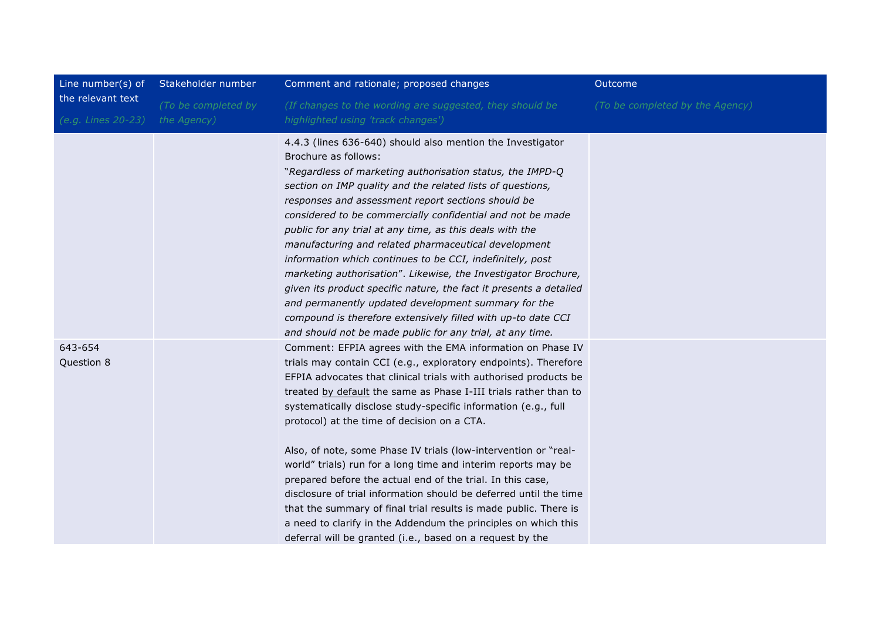| Line number(s) of                       | Stakeholder number                 | Comment and rationale; proposed changes                                                                                                                                                                                                                                                                                                                                                                                                                                                                                                                                                                                                                                                                                                                                                                                                                          | Outcome                         |
|-----------------------------------------|------------------------------------|------------------------------------------------------------------------------------------------------------------------------------------------------------------------------------------------------------------------------------------------------------------------------------------------------------------------------------------------------------------------------------------------------------------------------------------------------------------------------------------------------------------------------------------------------------------------------------------------------------------------------------------------------------------------------------------------------------------------------------------------------------------------------------------------------------------------------------------------------------------|---------------------------------|
| the relevant text<br>(e.g. Lines 20-23) | (To be completed by<br>the Agency) | (If changes to the wording are suggested, they should be<br>highlighted using 'track changes')                                                                                                                                                                                                                                                                                                                                                                                                                                                                                                                                                                                                                                                                                                                                                                   | (To be completed by the Agency) |
|                                         |                                    | 4.4.3 (lines 636-640) should also mention the Investigator<br>Brochure as follows:<br>"Regardless of marketing authorisation status, the IMPD-Q<br>section on IMP quality and the related lists of questions,<br>responses and assessment report sections should be<br>considered to be commercially confidential and not be made<br>public for any trial at any time, as this deals with the<br>manufacturing and related pharmaceutical development<br>information which continues to be CCI, indefinitely, post<br>marketing authorisation". Likewise, the Investigator Brochure,<br>given its product specific nature, the fact it presents a detailed<br>and permanently updated development summary for the<br>compound is therefore extensively filled with up-to date CCI<br>and should not be made public for any trial, at any time.                   |                                 |
| 643-654<br>Question 8                   |                                    | Comment: EFPIA agrees with the EMA information on Phase IV<br>trials may contain CCI (e.g., exploratory endpoints). Therefore<br>EFPIA advocates that clinical trials with authorised products be<br>treated by default the same as Phase I-III trials rather than to<br>systematically disclose study-specific information (e.g., full<br>protocol) at the time of decision on a CTA.<br>Also, of note, some Phase IV trials (low-intervention or "real-<br>world" trials) run for a long time and interim reports may be<br>prepared before the actual end of the trial. In this case,<br>disclosure of trial information should be deferred until the time<br>that the summary of final trial results is made public. There is<br>a need to clarify in the Addendum the principles on which this<br>deferral will be granted (i.e., based on a request by the |                                 |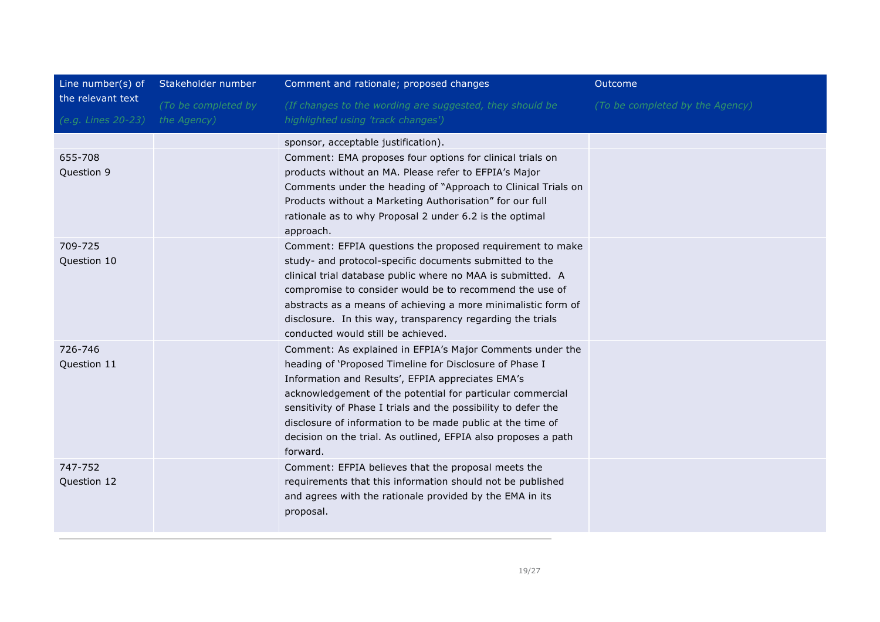| Line number(s) of                       | Stakeholder number                 | Comment and rationale; proposed changes                                                                                                                                                                                                                                                                                                                                                                                                               | Outcome                         |
|-----------------------------------------|------------------------------------|-------------------------------------------------------------------------------------------------------------------------------------------------------------------------------------------------------------------------------------------------------------------------------------------------------------------------------------------------------------------------------------------------------------------------------------------------------|---------------------------------|
| the relevant text<br>(e.g. Lines 20-23) | (To be completed by<br>the Agency) | (If changes to the wording are suggested, they should be<br>highlighted using 'track changes')                                                                                                                                                                                                                                                                                                                                                        | (To be completed by the Agency) |
| 655-708<br>Question 9                   |                                    | sponsor, acceptable justification).<br>Comment: EMA proposes four options for clinical trials on<br>products without an MA. Please refer to EFPIA's Major<br>Comments under the heading of "Approach to Clinical Trials on<br>Products without a Marketing Authorisation" for our full<br>rationale as to why Proposal 2 under 6.2 is the optimal<br>approach.                                                                                        |                                 |
| 709-725<br>Question 10                  |                                    | Comment: EFPIA questions the proposed requirement to make<br>study- and protocol-specific documents submitted to the<br>clinical trial database public where no MAA is submitted. A<br>compromise to consider would be to recommend the use of<br>abstracts as a means of achieving a more minimalistic form of<br>disclosure. In this way, transparency regarding the trials<br>conducted would still be achieved.                                   |                                 |
| 726-746<br>Question 11                  |                                    | Comment: As explained in EFPIA's Major Comments under the<br>heading of 'Proposed Timeline for Disclosure of Phase I<br>Information and Results', EFPIA appreciates EMA's<br>acknowledgement of the potential for particular commercial<br>sensitivity of Phase I trials and the possibility to defer the<br>disclosure of information to be made public at the time of<br>decision on the trial. As outlined, EFPIA also proposes a path<br>forward. |                                 |
| 747-752<br>Question 12                  |                                    | Comment: EFPIA believes that the proposal meets the<br>requirements that this information should not be published<br>and agrees with the rationale provided by the EMA in its<br>proposal.                                                                                                                                                                                                                                                            |                                 |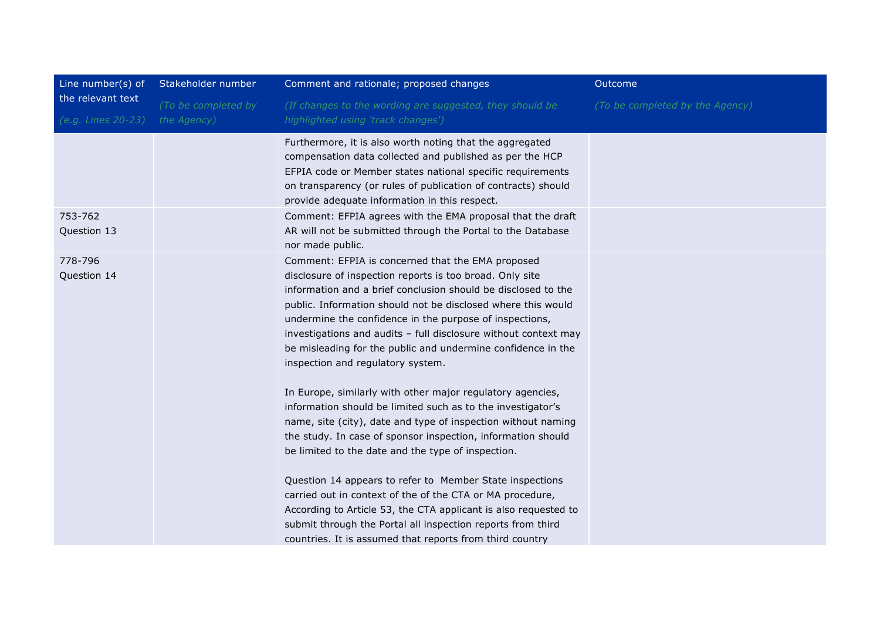| Line number(s) of                       | Stakeholder number                 | Comment and rationale; proposed changes                                                                                                                                                                                                                                                                                                                                                                                                                                                                                                                                                                                                                                                                                                                                                                                                                                                                                                                                                                                                                                                                                      | Outcome                         |
|-----------------------------------------|------------------------------------|------------------------------------------------------------------------------------------------------------------------------------------------------------------------------------------------------------------------------------------------------------------------------------------------------------------------------------------------------------------------------------------------------------------------------------------------------------------------------------------------------------------------------------------------------------------------------------------------------------------------------------------------------------------------------------------------------------------------------------------------------------------------------------------------------------------------------------------------------------------------------------------------------------------------------------------------------------------------------------------------------------------------------------------------------------------------------------------------------------------------------|---------------------------------|
| the relevant text<br>(e.g. Lines 20-23) | (To be completed by<br>the Agency) | (If changes to the wording are suggested, they should be<br>highlighted using 'track changes')                                                                                                                                                                                                                                                                                                                                                                                                                                                                                                                                                                                                                                                                                                                                                                                                                                                                                                                                                                                                                               | (To be completed by the Agency) |
|                                         |                                    | Furthermore, it is also worth noting that the aggregated<br>compensation data collected and published as per the HCP<br>EFPIA code or Member states national specific requirements<br>on transparency (or rules of publication of contracts) should<br>provide adequate information in this respect.                                                                                                                                                                                                                                                                                                                                                                                                                                                                                                                                                                                                                                                                                                                                                                                                                         |                                 |
| 753-762<br>Question 13                  |                                    | Comment: EFPIA agrees with the EMA proposal that the draft<br>AR will not be submitted through the Portal to the Database<br>nor made public.                                                                                                                                                                                                                                                                                                                                                                                                                                                                                                                                                                                                                                                                                                                                                                                                                                                                                                                                                                                |                                 |
| 778-796<br>Question 14                  |                                    | Comment: EFPIA is concerned that the EMA proposed<br>disclosure of inspection reports is too broad. Only site<br>information and a brief conclusion should be disclosed to the<br>public. Information should not be disclosed where this would<br>undermine the confidence in the purpose of inspections,<br>investigations and audits - full disclosure without context may<br>be misleading for the public and undermine confidence in the<br>inspection and regulatory system.<br>In Europe, similarly with other major regulatory agencies,<br>information should be limited such as to the investigator's<br>name, site (city), date and type of inspection without naming<br>the study. In case of sponsor inspection, information should<br>be limited to the date and the type of inspection.<br>Question 14 appears to refer to Member State inspections<br>carried out in context of the of the CTA or MA procedure,<br>According to Article 53, the CTA applicant is also requested to<br>submit through the Portal all inspection reports from third<br>countries. It is assumed that reports from third country |                                 |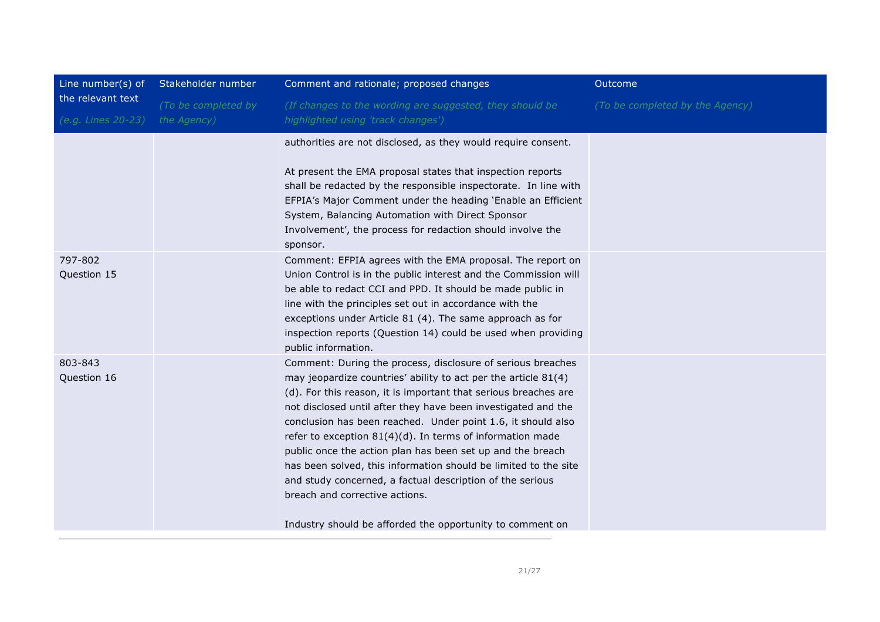| Line number(s) of                       | Stakeholder number                 | Comment and rationale; proposed changes                                                                                                                                                                                                                                                                                                                                                                                                                                                                                                                                                                                                                                                     | Outcome                         |
|-----------------------------------------|------------------------------------|---------------------------------------------------------------------------------------------------------------------------------------------------------------------------------------------------------------------------------------------------------------------------------------------------------------------------------------------------------------------------------------------------------------------------------------------------------------------------------------------------------------------------------------------------------------------------------------------------------------------------------------------------------------------------------------------|---------------------------------|
| the relevant text<br>(e.g. Lines 20-23) | (To be completed by<br>the Agency) | (If changes to the wording are suggested, they should be<br>highlighted using 'track changes')                                                                                                                                                                                                                                                                                                                                                                                                                                                                                                                                                                                              | (To be completed by the Agency) |
|                                         |                                    | authorities are not disclosed, as they would require consent.<br>At present the EMA proposal states that inspection reports<br>shall be redacted by the responsible inspectorate. In line with<br>EFPIA's Major Comment under the heading 'Enable an Efficient<br>System, Balancing Automation with Direct Sponsor<br>Involvement', the process for redaction should involve the<br>sponsor.                                                                                                                                                                                                                                                                                                |                                 |
| 797-802<br>Question 15                  |                                    | Comment: EFPIA agrees with the EMA proposal. The report on<br>Union Control is in the public interest and the Commission will<br>be able to redact CCI and PPD. It should be made public in<br>line with the principles set out in accordance with the<br>exceptions under Article 81 (4). The same approach as for<br>inspection reports (Question 14) could be used when providing<br>public information.                                                                                                                                                                                                                                                                                 |                                 |
| 803-843<br>Question 16                  |                                    | Comment: During the process, disclosure of serious breaches<br>may jeopardize countries' ability to act per the article 81(4)<br>(d). For this reason, it is important that serious breaches are<br>not disclosed until after they have been investigated and the<br>conclusion has been reached. Under point 1.6, it should also<br>refer to exception 81(4)(d). In terms of information made<br>public once the action plan has been set up and the breach<br>has been solved, this information should be limited to the site<br>and study concerned, a factual description of the serious<br>breach and corrective actions.<br>Industry should be afforded the opportunity to comment on |                                 |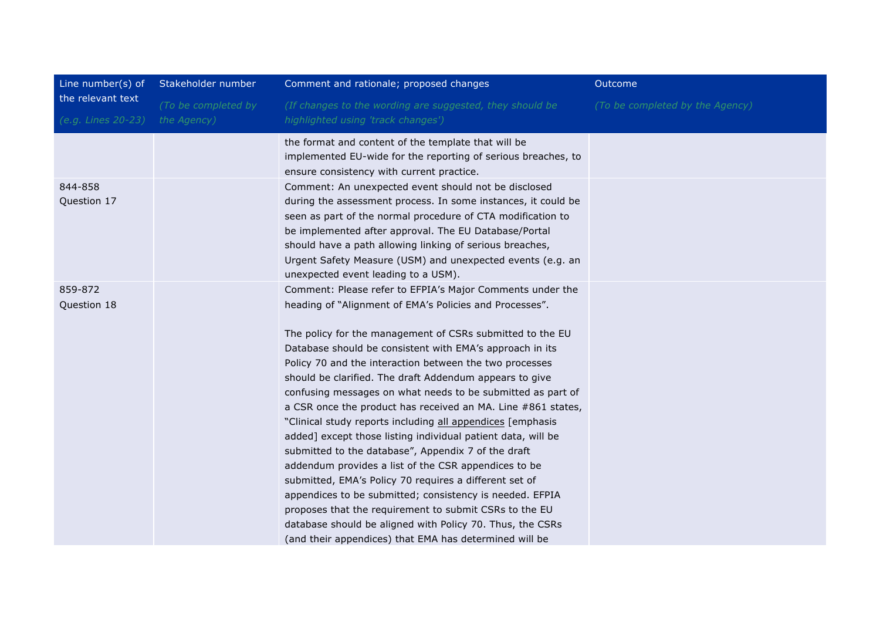| Line number( $s$ ) of<br>the relevant text | Stakeholder number  | Comment and rationale; proposed changes                                                                           | Outcome                         |
|--------------------------------------------|---------------------|-------------------------------------------------------------------------------------------------------------------|---------------------------------|
|                                            | (To be completed by | (If changes to the wording are suggested, they should be                                                          | (To be completed by the Agency) |
| (e.g. Lines 20-23)                         | the Agency)         | highlighted using 'track changes')                                                                                |                                 |
|                                            |                     | the format and content of the template that will be                                                               |                                 |
|                                            |                     | implemented EU-wide for the reporting of serious breaches, to                                                     |                                 |
|                                            |                     | ensure consistency with current practice.                                                                         |                                 |
| 844-858                                    |                     | Comment: An unexpected event should not be disclosed                                                              |                                 |
| Question 17                                |                     | during the assessment process. In some instances, it could be                                                     |                                 |
|                                            |                     | seen as part of the normal procedure of CTA modification to                                                       |                                 |
|                                            |                     | be implemented after approval. The EU Database/Portal<br>should have a path allowing linking of serious breaches, |                                 |
|                                            |                     | Urgent Safety Measure (USM) and unexpected events (e.g. an                                                        |                                 |
|                                            |                     | unexpected event leading to a USM).                                                                               |                                 |
| 859-872                                    |                     | Comment: Please refer to EFPIA's Major Comments under the                                                         |                                 |
| Question 18                                |                     | heading of "Alignment of EMA's Policies and Processes".                                                           |                                 |
|                                            |                     |                                                                                                                   |                                 |
|                                            |                     | The policy for the management of CSRs submitted to the EU                                                         |                                 |
|                                            |                     | Database should be consistent with EMA's approach in its                                                          |                                 |
|                                            |                     | Policy 70 and the interaction between the two processes                                                           |                                 |
|                                            |                     | should be clarified. The draft Addendum appears to give                                                           |                                 |
|                                            |                     | confusing messages on what needs to be submitted as part of                                                       |                                 |
|                                            |                     | a CSR once the product has received an MA. Line #861 states,                                                      |                                 |
|                                            |                     | "Clinical study reports including all appendices [emphasis                                                        |                                 |
|                                            |                     | added] except those listing individual patient data, will be                                                      |                                 |
|                                            |                     | submitted to the database", Appendix 7 of the draft                                                               |                                 |
|                                            |                     | addendum provides a list of the CSR appendices to be                                                              |                                 |
|                                            |                     | submitted, EMA's Policy 70 requires a different set of                                                            |                                 |
|                                            |                     | appendices to be submitted; consistency is needed. EFPIA                                                          |                                 |
|                                            |                     | proposes that the requirement to submit CSRs to the EU                                                            |                                 |
|                                            |                     | database should be aligned with Policy 70. Thus, the CSRs                                                         |                                 |
|                                            |                     | (and their appendices) that EMA has determined will be                                                            |                                 |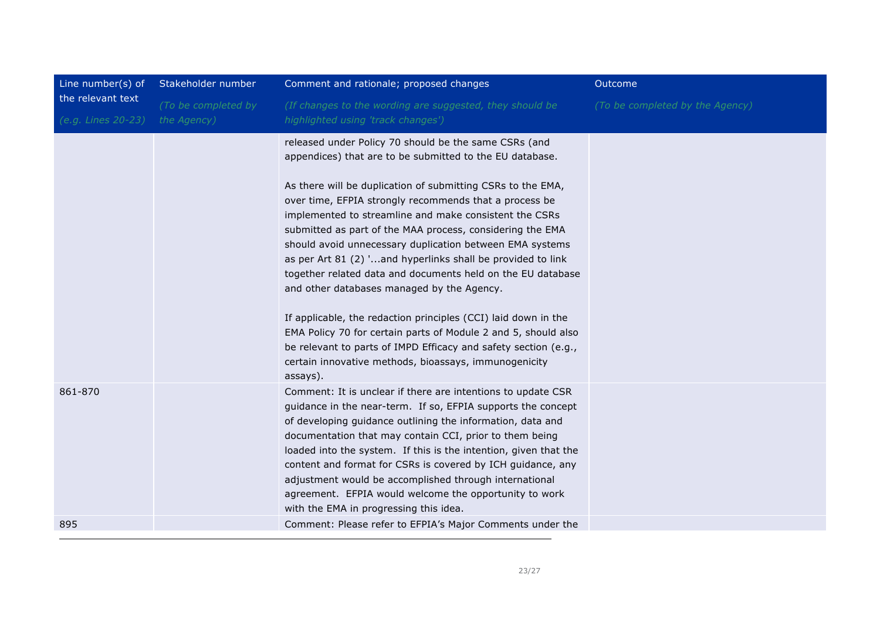| Line number(s) of                       | Stakeholder number                 | Comment and rationale; proposed changes                                                                                                                                                                                                                                                                                                                                                                                                                                                                                                                                                                                                                                                                                                                                                                                                                                               | Outcome                         |
|-----------------------------------------|------------------------------------|---------------------------------------------------------------------------------------------------------------------------------------------------------------------------------------------------------------------------------------------------------------------------------------------------------------------------------------------------------------------------------------------------------------------------------------------------------------------------------------------------------------------------------------------------------------------------------------------------------------------------------------------------------------------------------------------------------------------------------------------------------------------------------------------------------------------------------------------------------------------------------------|---------------------------------|
| the relevant text<br>(e.g. Lines 20-23) | (To be completed by<br>the Agency) | (If changes to the wording are suggested, they should be<br>highlighted using 'track changes')                                                                                                                                                                                                                                                                                                                                                                                                                                                                                                                                                                                                                                                                                                                                                                                        | (To be completed by the Agency) |
|                                         |                                    | released under Policy 70 should be the same CSRs (and<br>appendices) that are to be submitted to the EU database.<br>As there will be duplication of submitting CSRs to the EMA,<br>over time, EFPIA strongly recommends that a process be<br>implemented to streamline and make consistent the CSRs<br>submitted as part of the MAA process, considering the EMA<br>should avoid unnecessary duplication between EMA systems<br>as per Art 81 (2) 'and hyperlinks shall be provided to link<br>together related data and documents held on the EU database<br>and other databases managed by the Agency.<br>If applicable, the redaction principles (CCI) laid down in the<br>EMA Policy 70 for certain parts of Module 2 and 5, should also<br>be relevant to parts of IMPD Efficacy and safety section (e.g.,<br>certain innovative methods, bioassays, immunogenicity<br>assays). |                                 |
| 861-870                                 |                                    | Comment: It is unclear if there are intentions to update CSR<br>guidance in the near-term. If so, EFPIA supports the concept<br>of developing guidance outlining the information, data and<br>documentation that may contain CCI, prior to them being<br>loaded into the system. If this is the intention, given that the<br>content and format for CSRs is covered by ICH guidance, any<br>adjustment would be accomplished through international<br>agreement. EFPIA would welcome the opportunity to work<br>with the EMA in progressing this idea.                                                                                                                                                                                                                                                                                                                                |                                 |
| 895                                     |                                    | Comment: Please refer to EFPIA's Major Comments under the                                                                                                                                                                                                                                                                                                                                                                                                                                                                                                                                                                                                                                                                                                                                                                                                                             |                                 |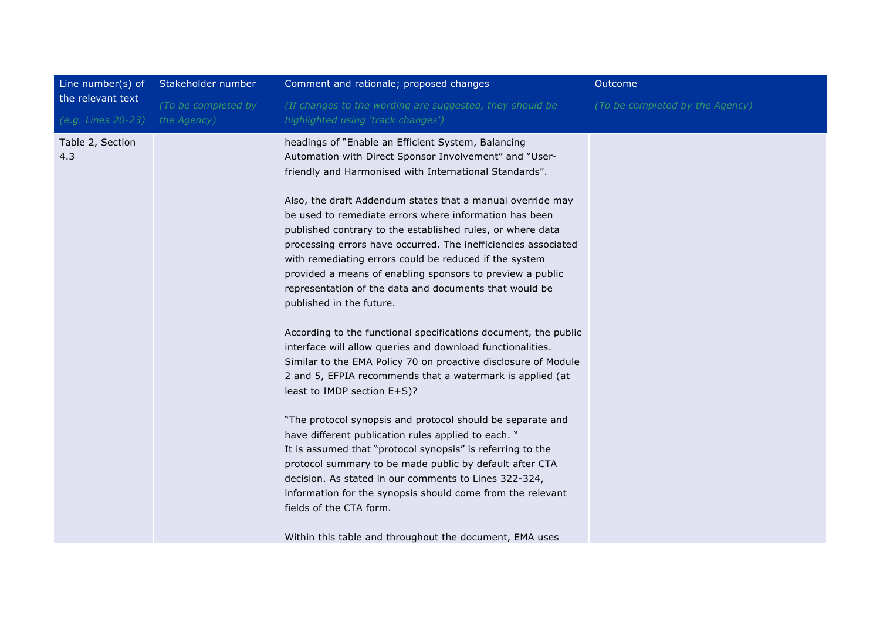| Line number(s) of       | Stakeholder number  | Comment and rationale; proposed changes                                                                                                                                                                                                                                                                                                                                                                                                                                                                                                                                                                                                                                                                                                                                                                                                                                                                                                                                                                                                                                                                                                                                                                                                                                                                                                    | Outcome                         |
|-------------------------|---------------------|--------------------------------------------------------------------------------------------------------------------------------------------------------------------------------------------------------------------------------------------------------------------------------------------------------------------------------------------------------------------------------------------------------------------------------------------------------------------------------------------------------------------------------------------------------------------------------------------------------------------------------------------------------------------------------------------------------------------------------------------------------------------------------------------------------------------------------------------------------------------------------------------------------------------------------------------------------------------------------------------------------------------------------------------------------------------------------------------------------------------------------------------------------------------------------------------------------------------------------------------------------------------------------------------------------------------------------------------|---------------------------------|
| the relevant text       | (To be completed by | (If changes to the wording are suggested, they should be                                                                                                                                                                                                                                                                                                                                                                                                                                                                                                                                                                                                                                                                                                                                                                                                                                                                                                                                                                                                                                                                                                                                                                                                                                                                                   | (To be completed by the Agency) |
| (e.g. Lines 20-23)      | the Agency)         | highlighted using 'track changes')                                                                                                                                                                                                                                                                                                                                                                                                                                                                                                                                                                                                                                                                                                                                                                                                                                                                                                                                                                                                                                                                                                                                                                                                                                                                                                         |                                 |
| Table 2, Section<br>4.3 |                     | headings of "Enable an Efficient System, Balancing<br>Automation with Direct Sponsor Involvement" and "User-<br>friendly and Harmonised with International Standards".<br>Also, the draft Addendum states that a manual override may<br>be used to remediate errors where information has been<br>published contrary to the established rules, or where data<br>processing errors have occurred. The inefficiencies associated<br>with remediating errors could be reduced if the system<br>provided a means of enabling sponsors to preview a public<br>representation of the data and documents that would be<br>published in the future.<br>According to the functional specifications document, the public<br>interface will allow queries and download functionalities.<br>Similar to the EMA Policy 70 on proactive disclosure of Module<br>2 and 5, EFPIA recommends that a watermark is applied (at<br>least to IMDP section E+S)?<br>"The protocol synopsis and protocol should be separate and<br>have different publication rules applied to each. "<br>It is assumed that "protocol synopsis" is referring to the<br>protocol summary to be made public by default after CTA<br>decision. As stated in our comments to Lines 322-324,<br>information for the synopsis should come from the relevant<br>fields of the CTA form. |                                 |
|                         |                     | Within this table and throughout the document, EMA uses                                                                                                                                                                                                                                                                                                                                                                                                                                                                                                                                                                                                                                                                                                                                                                                                                                                                                                                                                                                                                                                                                                                                                                                                                                                                                    |                                 |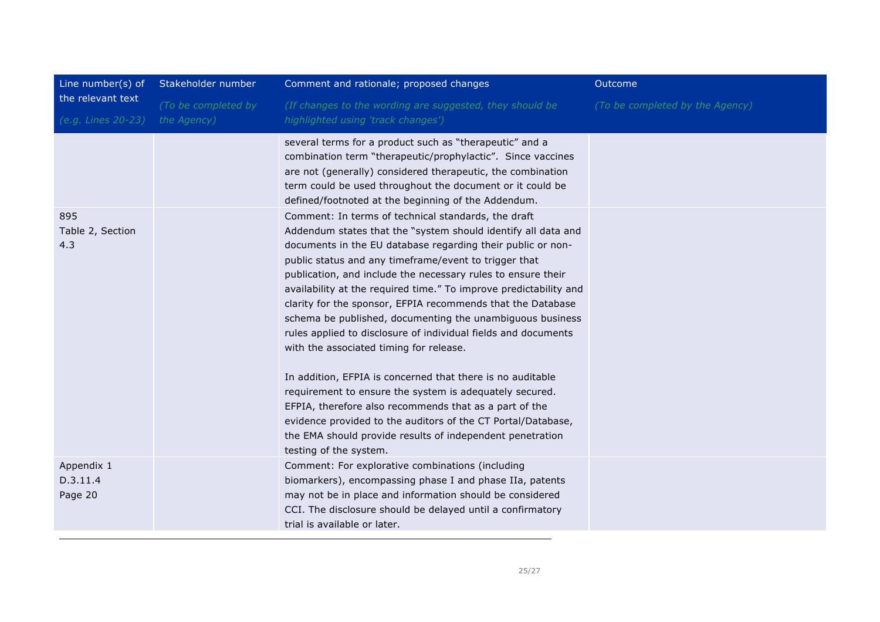| Line number(s) of                       | Stakeholder number                 | Comment and rationale; proposed changes                                                                                                                                                                                                                                                                                                                                                                                                                                                                                                                                                                                                                                                                                                                                                                                                                                                                                                                              | Outcome                         |
|-----------------------------------------|------------------------------------|----------------------------------------------------------------------------------------------------------------------------------------------------------------------------------------------------------------------------------------------------------------------------------------------------------------------------------------------------------------------------------------------------------------------------------------------------------------------------------------------------------------------------------------------------------------------------------------------------------------------------------------------------------------------------------------------------------------------------------------------------------------------------------------------------------------------------------------------------------------------------------------------------------------------------------------------------------------------|---------------------------------|
| the relevant text<br>(e.g. Lines 20-23) | (To be completed by<br>the Agency) | (If changes to the wording are suggested, they should be<br>highlighted using 'track changes')                                                                                                                                                                                                                                                                                                                                                                                                                                                                                                                                                                                                                                                                                                                                                                                                                                                                       | (To be completed by the Agency) |
|                                         |                                    | several terms for a product such as "therapeutic" and a<br>combination term "therapeutic/prophylactic". Since vaccines<br>are not (generally) considered therapeutic, the combination<br>term could be used throughout the document or it could be<br>defined/footnoted at the beginning of the Addendum.                                                                                                                                                                                                                                                                                                                                                                                                                                                                                                                                                                                                                                                            |                                 |
| 895<br>Table 2, Section<br>4.3          |                                    | Comment: In terms of technical standards, the draft<br>Addendum states that the "system should identify all data and<br>documents in the EU database regarding their public or non-<br>public status and any timeframe/event to trigger that<br>publication, and include the necessary rules to ensure their<br>availability at the required time." To improve predictability and<br>clarity for the sponsor, EFPIA recommends that the Database<br>schema be published, documenting the unambiguous business<br>rules applied to disclosure of individual fields and documents<br>with the associated timing for release.<br>In addition, EFPIA is concerned that there is no auditable<br>requirement to ensure the system is adequately secured.<br>EFPIA, therefore also recommends that as a part of the<br>evidence provided to the auditors of the CT Portal/Database,<br>the EMA should provide results of independent penetration<br>testing of the system. |                                 |
| Appendix 1<br>D.3.11.4<br>Page 20       |                                    | Comment: For explorative combinations (including<br>biomarkers), encompassing phase I and phase IIa, patents<br>may not be in place and information should be considered<br>CCI. The disclosure should be delayed until a confirmatory<br>trial is available or later.                                                                                                                                                                                                                                                                                                                                                                                                                                                                                                                                                                                                                                                                                               |                                 |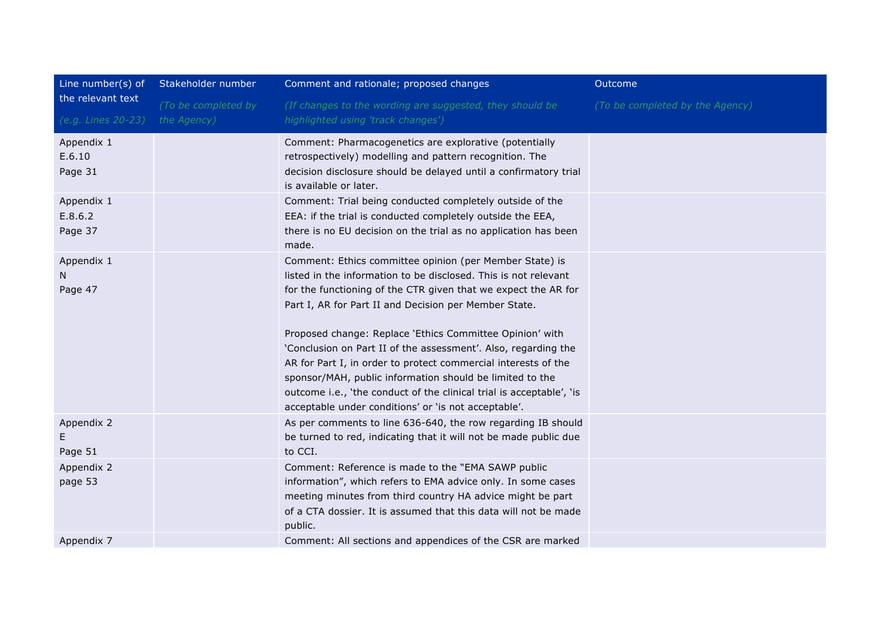| Line number(s) of                | Stakeholder number  | Comment and rationale; proposed changes                                                                                                                                                                                                                                                                                                                                                                                                                                                                                                                                                                                                           | Outcome                         |
|----------------------------------|---------------------|---------------------------------------------------------------------------------------------------------------------------------------------------------------------------------------------------------------------------------------------------------------------------------------------------------------------------------------------------------------------------------------------------------------------------------------------------------------------------------------------------------------------------------------------------------------------------------------------------------------------------------------------------|---------------------------------|
| the relevant text                | (To be completed by | (If changes to the wording are suggested, they should be                                                                                                                                                                                                                                                                                                                                                                                                                                                                                                                                                                                          | (To be completed by the Agency) |
| (e.g. Lines 20-23)               | the Agency)         | highlighted using 'track changes')                                                                                                                                                                                                                                                                                                                                                                                                                                                                                                                                                                                                                |                                 |
| Appendix 1<br>E.6.10<br>Page 31  |                     | Comment: Pharmacogenetics are explorative (potentially<br>retrospectively) modelling and pattern recognition. The<br>decision disclosure should be delayed until a confirmatory trial<br>is available or later.                                                                                                                                                                                                                                                                                                                                                                                                                                   |                                 |
| Appendix 1<br>E.8.6.2<br>Page 37 |                     | Comment: Trial being conducted completely outside of the<br>EEA: if the trial is conducted completely outside the EEA,<br>there is no EU decision on the trial as no application has been<br>made.                                                                                                                                                                                                                                                                                                                                                                                                                                                |                                 |
| Appendix 1<br>N.<br>Page 47      |                     | Comment: Ethics committee opinion (per Member State) is<br>listed in the information to be disclosed. This is not relevant<br>for the functioning of the CTR given that we expect the AR for<br>Part I, AR for Part II and Decision per Member State.<br>Proposed change: Replace 'Ethics Committee Opinion' with<br>'Conclusion on Part II of the assessment'. Also, regarding the<br>AR for Part I, in order to protect commercial interests of the<br>sponsor/MAH, public information should be limited to the<br>outcome i.e., 'the conduct of the clinical trial is acceptable', 'is<br>acceptable under conditions' or 'is not acceptable'. |                                 |
| Appendix 2<br>E.<br>Page 51      |                     | As per comments to line 636-640, the row regarding IB should<br>be turned to red, indicating that it will not be made public due<br>to CCI.                                                                                                                                                                                                                                                                                                                                                                                                                                                                                                       |                                 |
| Appendix 2<br>page 53            |                     | Comment: Reference is made to the "EMA SAWP public<br>information", which refers to EMA advice only. In some cases<br>meeting minutes from third country HA advice might be part<br>of a CTA dossier. It is assumed that this data will not be made<br>public.                                                                                                                                                                                                                                                                                                                                                                                    |                                 |
| Appendix 7                       |                     | Comment: All sections and appendices of the CSR are marked                                                                                                                                                                                                                                                                                                                                                                                                                                                                                                                                                                                        |                                 |